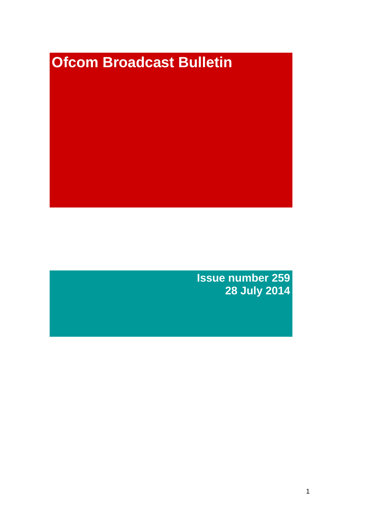# **Ofcom Broadcast Bulletin**

**Issue number 259 28 July 2014**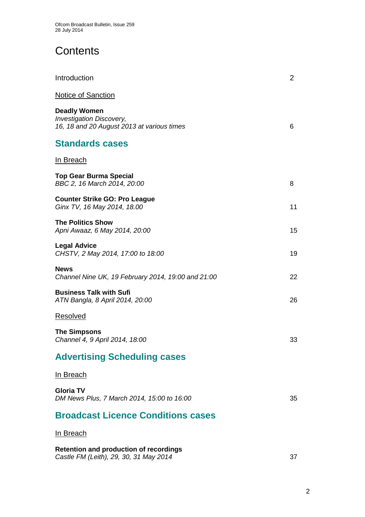# **Contents**

| Introduction                                                                                         | $\overline{2}$ |
|------------------------------------------------------------------------------------------------------|----------------|
| <b>Notice of Sanction</b>                                                                            |                |
| <b>Deadly Women</b><br><b>Investigation Discovery,</b><br>16, 18 and 20 August 2013 at various times | 6              |
| <b>Standards cases</b>                                                                               |                |
| <u>In Breach</u>                                                                                     |                |
| <b>Top Gear Burma Special</b><br>BBC 2, 16 March 2014, 20:00                                         | 8              |
| <b>Counter Strike GO: Pro League</b><br>Ginx TV, 16 May 2014, 18.00                                  | 11             |
| <b>The Politics Show</b><br>Apni Awaaz, 6 May 2014, 20:00                                            | 15             |
| <b>Legal Advice</b><br>CHSTV, 2 May 2014, 17:00 to 18:00                                             | 19             |
| <b>News</b><br>Channel Nine UK, 19 February 2014, 19:00 and 21:00                                    | 22             |
| <b>Business Talk with Sufi</b><br>ATN Bangla, 8 April 2014, 20:00                                    | 26             |
| <b>Resolved</b>                                                                                      |                |
| <b>The Simpsons</b><br>Channel 4, 9 April 2014, 18:00                                                | 33             |
| <b>Advertising Scheduling cases</b>                                                                  |                |
| <u>In Breach</u>                                                                                     |                |
| Gloria TV<br>DM News Plus, 7 March 2014, 15:00 to 16:00                                              | 35             |
| <b>Broadcast Licence Conditions cases</b>                                                            |                |
| <b>In Breach</b>                                                                                     |                |
| <b>Retention and production of recordings</b><br>Castle FM (Leith), 29, 30, 31 May 2014              | 37             |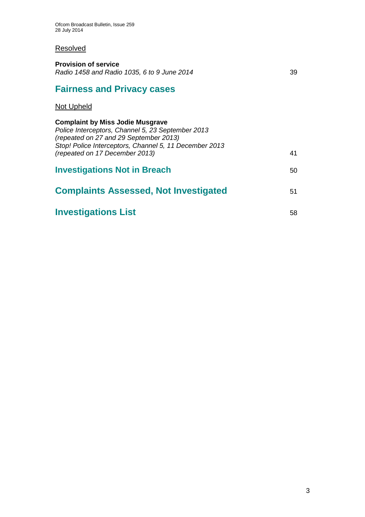## **Resolved**

| <b>Provision of service</b><br>Radio 1458 and Radio 1035, 6 to 9 June 2014                                                                                                                                                         | 39 |
|------------------------------------------------------------------------------------------------------------------------------------------------------------------------------------------------------------------------------------|----|
| <b>Fairness and Privacy cases</b>                                                                                                                                                                                                  |    |
| Not Upheld                                                                                                                                                                                                                         |    |
| <b>Complaint by Miss Jodie Musgrave</b><br>Police Interceptors, Channel 5, 23 September 2013<br>(repeated on 27 and 29 September 2013)<br>Stop! Police Interceptors, Channel 5, 11 December 2013<br>(repeated on 17 December 2013) | 41 |
| <b>Investigations Not in Breach</b>                                                                                                                                                                                                | 50 |
| <b>Complaints Assessed, Not Investigated</b>                                                                                                                                                                                       | 51 |
| <b>Investigations List</b>                                                                                                                                                                                                         | 58 |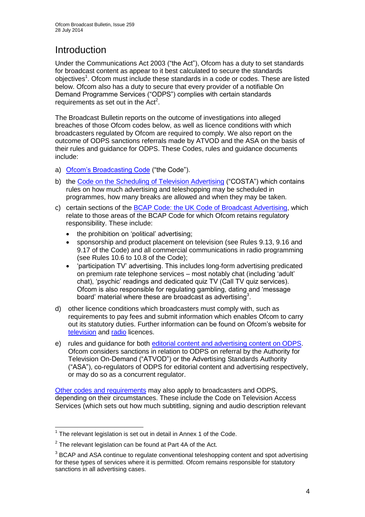# Introduction

Under the Communications Act 2003 ("the Act"), Ofcom has a duty to set standards for broadcast content as appear to it best calculated to secure the standards objectives<sup>1</sup>. Ofcom must include these standards in a code or codes. These are listed below. Ofcom also has a duty to secure that every provider of a notifiable On Demand Programme Services ("ODPS") complies with certain standards requirements as set out in the  $Act<sup>2</sup>$ .

The Broadcast Bulletin reports on the outcome of investigations into alleged breaches of those Ofcom codes below, as well as licence conditions with which broadcasters regulated by Ofcom are required to comply. We also report on the outcome of ODPS sanctions referrals made by ATVOD and the ASA on the basis of their rules and guidance for ODPS. These Codes, rules and guidance documents include:

- a) [Ofcom's Broadcasting Code](http://stakeholders.ofcom.org.uk/broadcasting/broadcast-codes/broadcast-code/) ("the Code").
- b) the [Code on the Scheduling of Television Advertising](http://stakeholders.ofcom.org.uk/broadcasting/broadcast-codes/advert-code/) ("COSTA") which contains rules on how much advertising and teleshopping may be scheduled in programmes, how many breaks are allowed and when they may be taken.
- c) certain sections of the [BCAP Code: the UK Code of Broadcast Advertising,](http://www.bcap.org.uk/Advertising-Codes/Broadcast-HTML.aspx) which relate to those areas of the BCAP Code for which Ofcom retains regulatory responsibility. These include:
	- the prohibition on 'political' advertising:
	- sponsorship and product placement on television (see Rules 9.13, 9.16 and 9.17 of the Code) and all commercial communications in radio programming (see Rules 10.6 to 10.8 of the Code);
	- 'participation TV' advertising. This includes long-form advertising predicated on premium rate telephone services – most notably chat (including 'adult' chat), 'psychic' readings and dedicated quiz TV (Call TV quiz services). Ofcom is also responsible for regulating gambling, dating and 'message board' material where these are broadcast as advertising<sup>3</sup>.
- d) other licence conditions which broadcasters must comply with, such as requirements to pay fees and submit information which enables Ofcom to carry out its statutory duties. Further information can be found on Ofcom's website for [television](http://licensing.ofcom.org.uk/tv-broadcast-licences/) and [radio](http://licensing.ofcom.org.uk/radio-broadcast-licensing/) licences.
- e) rules and guidance for both [editorial content and advertising content on ODPS.](http://www.atvod.co.uk/uploads/files/ATVOD_Rules_and_Guidance_Ed_2.0_May_2012.pdf) Ofcom considers sanctions in relation to ODPS on referral by the Authority for Television On-Demand ("ATVOD") or the Advertising Standards Authority ("ASA"), co-regulators of ODPS for editorial content and advertising respectively, or may do so as a concurrent regulator.

[Other codes and requirements](http://stakeholders.ofcom.org.uk/broadcasting/broadcast-codes/) may also apply to broadcasters and ODPS, depending on their circumstances. These include the Code on Television Access Services (which sets out how much subtitling, signing and audio description relevant

<sup>1</sup>  $1$  The relevant legislation is set out in detail in Annex 1 of the Code.

 $2$  The relevant legislation can be found at Part 4A of the Act.

 $3$  BCAP and ASA continue to regulate conventional teleshopping content and spot advertising for these types of services where it is permitted. Ofcom remains responsible for statutory sanctions in all advertising cases.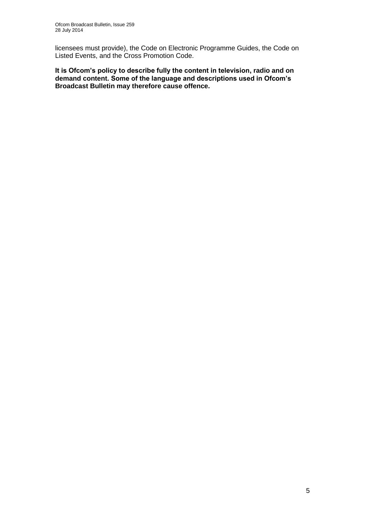licensees must provide), the Code on Electronic Programme Guides, the Code on Listed Events, and the Cross Promotion Code.

**It is Ofcom's policy to describe fully the content in television, radio and on demand content. Some of the language and descriptions used in Ofcom's Broadcast Bulletin may therefore cause offence.**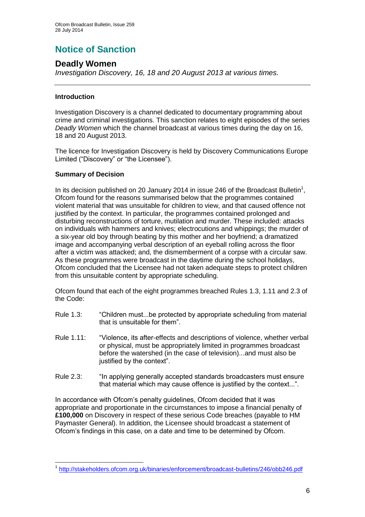# **Notice of Sanction**

## **Deadly Women**

*Investigation Discovery, 16, 18 and 20 August 2013 at various times.*

#### **Introduction**

Investigation Discovery is a channel dedicated to documentary programming about crime and criminal investigations. This sanction relates to eight episodes of the series *Deadly Women* which the channel broadcast at various times during the day on 16, 18 and 20 August 2013.

The licence for Investigation Discovery is held by Discovery Communications Europe Limited ("Discovery" or "the Licensee").

#### **Summary of Decision**

1

In its decision published on 20 January 2014 in issue 246 of the Broadcast Bulletin<sup>1</sup>, Ofcom found for the reasons summarised below that the programmes contained violent material that was unsuitable for children to view, and that caused offence not justified by the context. In particular, the programmes contained prolonged and disturbing reconstructions of torture, mutilation and murder. These included: attacks on individuals with hammers and knives; electrocutions and whippings; the murder of a six-year old boy through beating by this mother and her boyfriend; a dramatized image and accompanying verbal description of an eyeball rolling across the floor after a victim was attacked; and, the dismemberment of a corpse with a circular saw. As these programmes were broadcast in the daytime during the school holidays, Ofcom concluded that the Licensee had not taken adequate steps to protect children from this unsuitable content by appropriate scheduling.

Ofcom found that each of the eight programmes breached Rules 1.3, 1.11 and 2.3 of the Code:

- Rule 1.3: "Children must...be protected by appropriate scheduling from material that is unsuitable for them".
- Rule 1.11: "Violence, its after-effects and descriptions of violence, whether verbal or physical, must be appropriately limited in programmes broadcast before the watershed (in the case of television)...and must also be justified by the context".
- Rule 2.3: "In applying generally accepted standards broadcasters must ensure that material which may cause offence is justified by the context...".

In accordance with Ofcom's penalty guidelines, Ofcom decided that it was appropriate and proportionate in the circumstances to impose a financial penalty of **£100,000** on Discovery in respect of these serious Code breaches (payable to HM Paymaster General). In addition, the Licensee should broadcast a statement of Ofcom's findings in this case, on a date and time to be determined by Ofcom.

<sup>1</sup> <http://stakeholders.ofcom.org.uk/binaries/enforcement/broadcast-bulletins/246/obb246.pdf>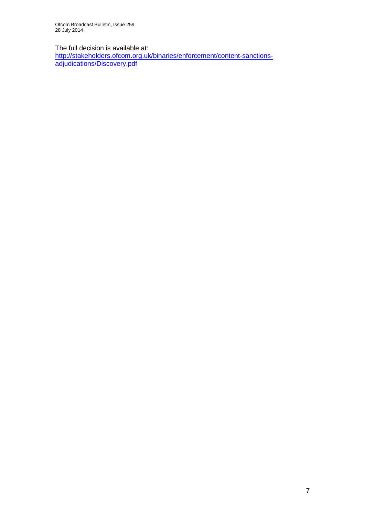Ofcom Broadcast Bulletin, Issue 259 28 July 2014

The full decision is available at:

[http://stakeholders.ofcom.org.uk/binaries/enforcement/content-sanctions](http://stakeholders.ofcom.org.uk/binaries/enforcement/content-sanctions-adjudications/Discovery.pdf)[adjudications/Discovery.pdf](http://stakeholders.ofcom.org.uk/binaries/enforcement/content-sanctions-adjudications/Discovery.pdf)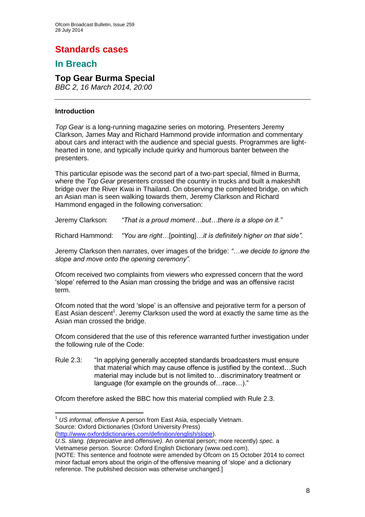# **Standards cases**

## **In Breach**

## **Top Gear Burma Special**

*BBC 2, 16 March 2014, 20:00*

#### **Introduction**

1

*Top Gear* is a long-running magazine series on motoring. Presenters Jeremy Clarkson, James May and Richard Hammond provide information and commentary about cars and interact with the audience and special guests. Programmes are lighthearted in tone, and typically include quirky and humorous banter between the presenters.

This particular episode was the second part of a two-part special, filmed in Burma, where the *Top Gear* presenters crossed the country in trucks and built a makeshift bridge over the River Kwai in Thailand. On observing the completed bridge, on which an Asian man is seen walking towards them, Jeremy Clarkson and Richard Hammond engaged in the following conversation:

Jeremy Clarkson: *"That is a proud moment…but…there is a slope on it."*

Richard Hammond: *"You are right…*[pointing]*…it is definitely higher on that side".*

Jeremy Clarkson then narrates, over images of the bridge: *"…we decide to ignore the slope and move onto the opening ceremony".*

Ofcom received two complaints from viewers who expressed concern that the word 'slope' referred to the Asian man crossing the bridge and was an offensive racist term.

Ofcom noted that the word 'slope' is an offensive and pejorative term for a person of East Asian descent<sup>1</sup>. Jeremy Clarkson used the word at exactly the same time as the Asian man crossed the bridge.

Ofcom considered that the use of this reference warranted further investigation under the following rule of the Code:

Rule 2.3: "In applying generally accepted standards broadcasters must ensure that material which may cause offence is justified by the context…Such material may include but is not limited to…discriminatory treatment or language (for example on the grounds of…race…)."

Ofcom therefore asked the BBC how this material complied with Rule 2.3.

<sup>1</sup> *US informal*, *offensive* A person from East Asia, especially Vietnam. Source: Oxford Dictionaries (Oxford University Press) [\(http://www.oxforddictionaries.com/definition/english/slope\)](http://www.oxforddictionaries.com/definition/english/slope).

*U.S. slang. (depreciative* and *offensive).* An oriental person; more recently) *spec.* a Vietnamese person. Source: Oxford English Dictionary (www.oed.com).

<sup>[</sup>NOTE: This sentence and footnote were amended by Ofcom on 15 October 2014 to correct minor factual errors about the origin of the offensive meaning of 'slope' and a dictionary reference. The published decision was otherwise unchanged.]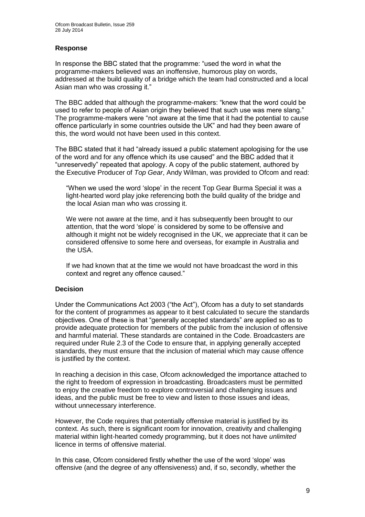#### **Response**

In response the BBC stated that the programme: "used the word in what the programme-makers believed was an inoffensive, humorous play on words, addressed at the build quality of a bridge which the team had constructed and a local Asian man who was crossing it."

The BBC added that although the programme-makers: "knew that the word could be used to refer to people of Asian origin they believed that such use was mere slang." The programme-makers were "not aware at the time that it had the potential to cause offence particularly in some countries outside the UK" and had they been aware of this, the word would not have been used in this context.

The BBC stated that it had "already issued a public statement apologising for the use of the word and for any offence which its use caused" and the BBC added that it "unreservedly" repeated that apology. A copy of the public statement, authored by the Executive Producer of *Top Gear*, Andy Wilman, was provided to Ofcom and read:

"When we used the word 'slope' in the recent Top Gear Burma Special it was a light-hearted word play joke referencing both the build quality of the bridge and the local Asian man who was crossing it.

We were not aware at the time, and it has subsequently been brought to our attention, that the word 'slope' is considered by some to be offensive and although it might not be widely recognised in the UK, we appreciate that it can be considered offensive to some here and overseas, for example in Australia and the USA.

If we had known that at the time we would not have broadcast the word in this context and regret any offence caused."

#### **Decision**

Under the Communications Act 2003 ("the Act"), Ofcom has a duty to set standards for the content of programmes as appear to it best calculated to secure the standards objectives. One of these is that "generally accepted standards" are applied so as to provide adequate protection for members of the public from the inclusion of offensive and harmful material. These standards are contained in the Code. Broadcasters are required under Rule 2.3 of the Code to ensure that, in applying generally accepted standards, they must ensure that the inclusion of material which may cause offence is justified by the context.

In reaching a decision in this case, Ofcom acknowledged the importance attached to the right to freedom of expression in broadcasting. Broadcasters must be permitted to enjoy the creative freedom to explore controversial and challenging issues and ideas, and the public must be free to view and listen to those issues and ideas, without unnecessary interference.

However, the Code requires that potentially offensive material is justified by its context. As such, there is significant room for innovation, creativity and challenging material within light-hearted comedy programming, but it does not have *unlimited* licence in terms of offensive material.

In this case, Ofcom considered firstly whether the use of the word 'slope' was offensive (and the degree of any offensiveness) and, if so, secondly, whether the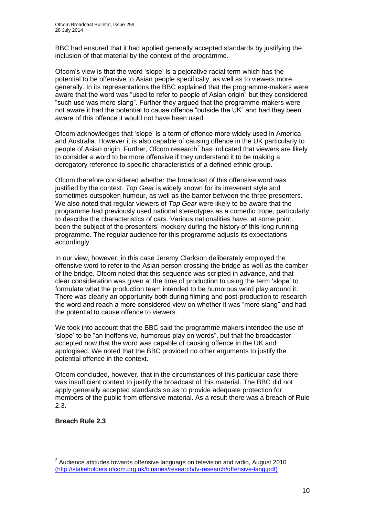BBC had ensured that it had applied generally accepted standards by justifying the inclusion of that material by the context of the programme.

Ofcom's view is that the word 'slope' is a pejorative racial term which has the potential to be offensive to Asian people specifically, as well as to viewers more generally. In its representations the BBC explained that the programme-makers were aware that the word was "used to refer to people of Asian origin" but they considered "such use was mere slang". Further they argued that the programme-makers were not aware it had the potential to cause offence "outside the UK" and had they been aware of this offence it would not have been used.

Ofcom acknowledges that 'slope' is a term of offence more widely used in America and Australia. However it is also capable of causing offence in the UK particularly to people of Asian origin. Further, Ofcom research<sup>2</sup> has indicated that viewers are likely to consider a word to be more offensive if they understand it to be making a derogatory reference to specific characteristics of a defined ethnic group.

Ofcom therefore considered whether the broadcast of this offensive word was justified by the context. *Top Gear* is widely known for its irreverent style and sometimes outspoken humour, as well as the banter between the three presenters. We also noted that regular viewers of *Top Gear* were likely to be aware that the programme had previously used national stereotypes as a comedic trope, particularly to describe the characteristics of cars. Various nationalities have, at some point, been the subject of the presenters' mockery during the history of this long running programme. The regular audience for this programme adjusts its expectations accordingly.

In our view, however, in this case Jeremy Clarkson deliberately employed the offensive word to refer to the Asian person crossing the bridge as well as the camber of the bridge. Ofcom noted that this sequence was scripted in advance, and that clear consideration was given at the time of production to using the term 'slope' to formulate what the production team intended to be humorous word play around it. There was clearly an opportunity both during filming and post-production to research the word and reach a more considered view on whether it was "mere slang" and had the potential to cause offence to viewers.

We took into account that the BBC said the programme makers intended the use of 'slope' to be "an inoffensive, humorous play on words", but that the broadcaster accepted now that the word was capable of causing offence in the UK and apologised. We noted that the BBC provided no other arguments to justify the potential offence in the context.

Ofcom concluded, however, that in the circumstances of this particular case there was insufficient context to justify the broadcast of this material. The BBC did not apply generally accepted standards so as to provide adequate protection for members of the public from offensive material. As a result there was a breach of Rule 2.3.

#### **Breach Rule 2.3**

1

 $2$  Audience attitudes towards offensive language on television and radio, August 2010 [\(http://stakeholders.ofcom.org.uk/binaries/research/tv-research/offensive-lang.pdf\)](file:///C:/Users/Trevor.Barnes/AppData/Local/Microsoft/Windows/Temporary%20Internet%20Files/Content.Outlook/9HM4UPNM/(http:/stakeholders.ofcom.org.uk/binaries/research/tv-research/offensive-lang.pdf))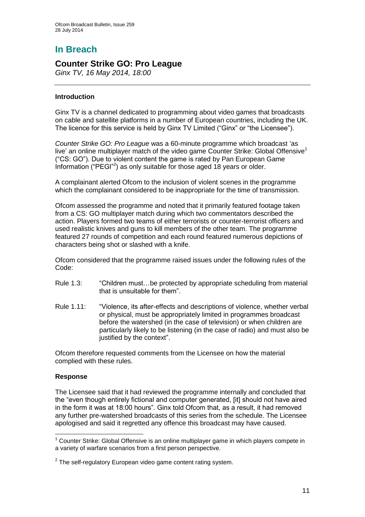# **In Breach**

## **Counter Strike GO: Pro League**

*Ginx TV, 16 May 2014, 18:00*

#### **Introduction**

Ginx TV is a channel dedicated to programming about video games that broadcasts on cable and satellite platforms in a number of European countries, including the UK. The licence for this service is held by Ginx TV Limited ("Ginx" or "the Licensee").

*Counter Strike GO: Pro League* was a 60-minute programme which broadcast 'as live' an online multiplayer match of the video game Counter Strike: Global Offensive<sup>1</sup> ("CS: GO"). Due to violent content the game is rated by Pan European Game Information ("PEGI"<sup>2</sup>) as only suitable for those aged 18 years or older.

A complainant alerted Ofcom to the inclusion of violent scenes in the programme which the complainant considered to be inappropriate for the time of transmission.

Ofcom assessed the programme and noted that it primarily featured footage taken from a CS: GO multiplayer match during which two commentators described the action. Players formed two teams of either terrorists or counter-terrorist officers and used realistic knives and guns to kill members of the other team. The programme featured 27 rounds of competition and each round featured numerous depictions of characters being shot or slashed with a knife.

Ofcom considered that the programme raised issues under the following rules of the Code:

- Rule 1.3: "Children must…be protected by appropriate scheduling from material that is unsuitable for them".
- Rule 1.11: "Violence, its after-effects and descriptions of violence, whether verbal or physical, must be appropriately limited in programmes broadcast before the watershed (in the case of television) or when children are particularly likely to be listening (in the case of radio) and must also be justified by the context".

Ofcom therefore requested comments from the Licensee on how the material complied with these rules.

#### **Response**

1

The Licensee said that it had reviewed the programme internally and concluded that the "even though entirely fictional and computer generated, [it] should not have aired in the form it was at 18:00 hours". Ginx told Ofcom that, as a result, it had removed any further pre-watershed broadcasts of this series from the schedule. The Licensee apologised and said it regretted any offence this broadcast may have caused.

 $<sup>1</sup>$  Counter Strike: Global Offensive is an online multiplayer game in which players compete in</sup> a variety of warfare scenarios from a first person perspective.

 $2$  The self-regulatory European video game content rating system.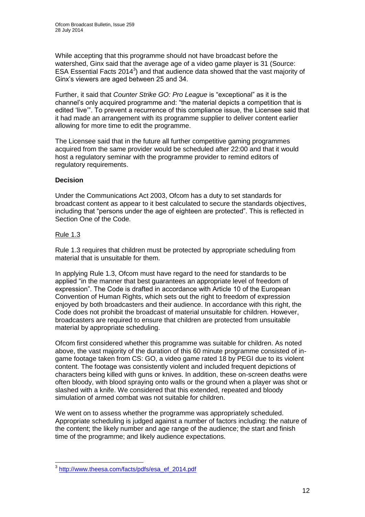While accepting that this programme should not have broadcast before the watershed, Ginx said that the average age of a video game player is 31 (Source: ESA Essential Facts  $2014<sup>3</sup>$ ) and that audience data showed that the vast majority of Ginx's viewers are aged between 25 and 34.

Further, it said that *Counter Strike GO: Pro League* is "exceptional" as it is the channel's only acquired programme and: "the material depicts a competition that is edited 'live'". To prevent a recurrence of this compliance issue, the Licensee said that it had made an arrangement with its programme supplier to deliver content earlier allowing for more time to edit the programme.

The Licensee said that in the future all further competitive gaming programmes acquired from the same provider would be scheduled after 22:00 and that it would host a regulatory seminar with the programme provider to remind editors of regulatory requirements.

#### **Decision**

Under the Communications Act 2003, Ofcom has a duty to set standards for broadcast content as appear to it best calculated to secure the standards objectives, including that "persons under the age of eighteen are protected". This is reflected in Section One of the Code.

#### Rule 1.3

Rule 1.3 requires that children must be protected by appropriate scheduling from material that is unsuitable for them.

In applying Rule 1.3, Ofcom must have regard to the need for standards to be applied "in the manner that best guarantees an appropriate level of freedom of expression". The Code is drafted in accordance with Article 10 of the European Convention of Human Rights, which sets out the right to freedom of expression enjoyed by both broadcasters and their audience. In accordance with this right, the Code does not prohibit the broadcast of material unsuitable for children. However, broadcasters are required to ensure that children are protected from unsuitable material by appropriate scheduling.

Ofcom first considered whether this programme was suitable for children. As noted above, the vast majority of the duration of this 60 minute programme consisted of ingame footage taken from CS: GO, a video game rated 18 by PEGI due to its violent content. The footage was consistently violent and included frequent depictions of characters being killed with guns or knives. In addition, these on-screen deaths were often bloody, with blood spraying onto walls or the ground when a player was shot or slashed with a knife. We considered that this extended, repeated and bloody simulation of armed combat was not suitable for children.

We went on to assess whether the programme was appropriately scheduled. Appropriate scheduling is judged against a number of factors including: the nature of the content; the likely number and age range of the audience; the start and finish time of the programme; and likely audience expectations.

 3 [http://www.theesa.com/facts/pdfs/esa\\_ef\\_2014.pdf](http://www.theesa.com/facts/pdfs/esa_ef_2014.pdf)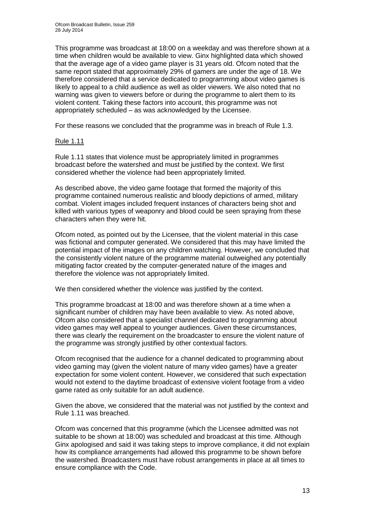This programme was broadcast at 18:00 on a weekday and was therefore shown at a time when children would be available to view. Ginx highlighted data which showed that the average age of a video game player is 31 years old. Ofcom noted that the same report stated that approximately 29% of gamers are under the age of 18. We therefore considered that a service dedicated to programming about video games is likely to appeal to a child audience as well as older viewers. We also noted that no warning was given to viewers before or during the programme to alert them to its violent content. Taking these factors into account, this programme was not appropriately scheduled – as was acknowledged by the Licensee.

For these reasons we concluded that the programme was in breach of Rule 1.3.

#### Rule 1.11

Rule 1.11 states that violence must be appropriately limited in programmes broadcast before the watershed and must be justified by the context. We first considered whether the violence had been appropriately limited.

As described above, the video game footage that formed the majority of this programme contained numerous realistic and bloody depictions of armed, military combat. Violent images included frequent instances of characters being shot and killed with various types of weaponry and blood could be seen spraying from these characters when they were hit.

Ofcom noted, as pointed out by the Licensee, that the violent material in this case was fictional and computer generated. We considered that this may have limited the potential impact of the images on any children watching. However, we concluded that the consistently violent nature of the programme material outweighed any potentially mitigating factor created by the computer-generated nature of the images and therefore the violence was not appropriately limited.

We then considered whether the violence was justified by the context.

This programme broadcast at 18:00 and was therefore shown at a time when a significant number of children may have been available to view. As noted above, Ofcom also considered that a specialist channel dedicated to programming about video games may well appeal to younger audiences. Given these circumstances, there was clearly the requirement on the broadcaster to ensure the violent nature of the programme was strongly justified by other contextual factors.

Ofcom recognised that the audience for a channel dedicated to programming about video gaming may (given the violent nature of many video games) have a greater expectation for some violent content. However, we considered that such expectation would not extend to the daytime broadcast of extensive violent footage from a video game rated as only suitable for an adult audience.

Given the above, we considered that the material was not justified by the context and Rule 1.11 was breached.

Ofcom was concerned that this programme (which the Licensee admitted was not suitable to be shown at 18:00) was scheduled and broadcast at this time. Although Ginx apologised and said it was taking steps to improve compliance, it did not explain how its compliance arrangements had allowed this programme to be shown before the watershed. Broadcasters must have robust arrangements in place at all times to ensure compliance with the Code.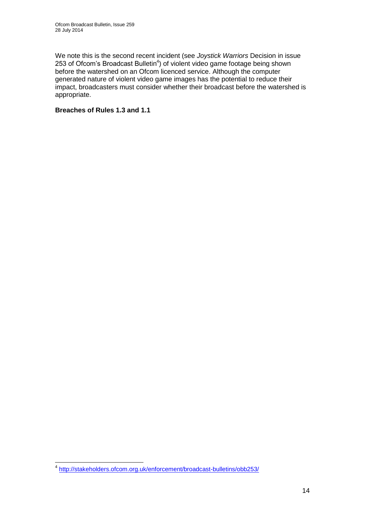We note this is the second recent incident (see *Joystick Warriors* Decision in issue 253 of Ofcom's Broadcast Bulletin<sup>4</sup>) of violent video game footage being shown before the watershed on an Ofcom licenced service. Although the computer generated nature of violent video game images has the potential to reduce their impact, broadcasters must consider whether their broadcast before the watershed is appropriate.

#### **Breaches of Rules 1.3 and 1.1**

 4 <http://stakeholders.ofcom.org.uk/enforcement/broadcast-bulletins/obb253/>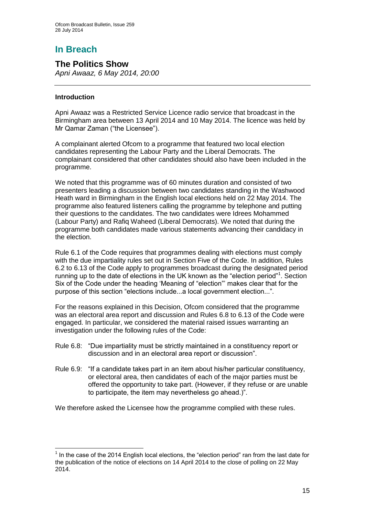# **In Breach**

**The Politics Show** *Apni Awaaz, 6 May 2014, 20:00*

#### **Introduction**

1

Apni Awaaz was a Restricted Service Licence radio service that broadcast in the Birmingham area between 13 April 2014 and 10 May 2014. The licence was held by Mr Qamar Zaman ("the Licensee").

A complainant alerted Ofcom to a programme that featured two local election candidates representing the Labour Party and the Liberal Democrats. The complainant considered that other candidates should also have been included in the programme.

We noted that this programme was of 60 minutes duration and consisted of two presenters leading a discussion between two candidates standing in the Washwood Heath ward in Birmingham in the English local elections held on 22 May 2014. The programme also featured listeners calling the programme by telephone and putting their questions to the candidates. The two candidates were Idrees Mohammed (Labour Party) and Rafiq Waheed (Liberal Democrats). We noted that during the programme both candidates made various statements advancing their candidacy in the election.

Rule 6.1 of the Code requires that programmes dealing with elections must comply with the due impartiality rules set out in Section Five of the Code. In addition, Rules 6.2 to 6.13 of the Code apply to programmes broadcast during the designated period running up to the date of elections in the UK known as the "election period"<sup>1</sup>. Section Six of the Code under the heading 'Meaning of "election"' makes clear that for the purpose of this section "elections include...a local government election...".

For the reasons explained in this Decision, Ofcom considered that the programme was an electoral area report and discussion and Rules 6.8 to 6.13 of the Code were engaged. In particular, we considered the material raised issues warranting an investigation under the following rules of the Code:

- Rule 6.8: "Due impartiality must be strictly maintained in a constituency report or discussion and in an electoral area report or discussion".
- Rule 6.9: "If a candidate takes part in an item about his/her particular constituency, or electoral area, then candidates of each of the major parties must be offered the opportunity to take part. (However, if they refuse or are unable to participate, the item may nevertheless go ahead.)".

We therefore asked the Licensee how the programme complied with these rules.

 $<sup>1</sup>$  In the case of the 2014 English local elections, the "election period" ran from the last date for</sup> the publication of the notice of elections on 14 April 2014 to the close of polling on 22 May 2014.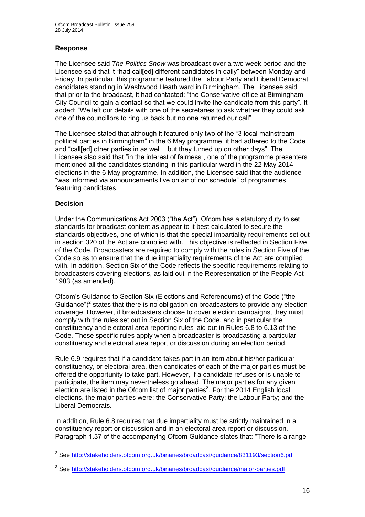#### **Response**

The Licensee said *The Politics Show* was broadcast over a two week period and the Licensee said that it "had call[ed] different candidates in daily" between Monday and Friday. In particular, this programme featured the Labour Party and Liberal Democrat candidates standing in Washwood Heath ward in Birmingham. The Licensee said that prior to the broadcast, it had contacted: "the Conservative office at Birmingham City Council to gain a contact so that we could invite the candidate from this party". It added: "We left our details with one of the secretaries to ask whether they could ask one of the councillors to ring us back but no one returned our call".

The Licensee stated that although it featured only two of the "3 local mainstream political parties in Birmingham" in the 6 May programme, it had adhered to the Code and "call[ed] other parties in as well…but they turned up on other days". The Licensee also said that "in the interest of fairness", one of the programme presenters mentioned all the candidates standing in this particular ward in the 22 May 2014 elections in the 6 May programme. In addition, the Licensee said that the audience "was informed via announcements live on air of our schedule" of programmes featuring candidates.

#### **Decision**

Under the Communications Act 2003 ("the Act"), Ofcom has a statutory duty to set standards for broadcast content as appear to it best calculated to secure the standards objectives, one of which is that the special impartiality requirements set out in section 320 of the Act are complied with. This objective is reflected in Section Five of the Code. Broadcasters are required to comply with the rules in Section Five of the Code so as to ensure that the due impartiality requirements of the Act are complied with. In addition, Section Six of the Code reflects the specific requirements relating to broadcasters covering elections, as laid out in the Representation of the People Act 1983 (as amended).

Ofcom's Guidance to Section Six (Elections and Referendums) of the Code ("the Guidance")<sup>2</sup> states that there is no obligation on broadcasters to provide any election coverage. However, if broadcasters choose to cover election campaigns, they must comply with the rules set out in Section Six of the Code, and in particular the constituency and electoral area reporting rules laid out in Rules 6.8 to 6.13 of the Code. These specific rules apply when a broadcaster is broadcasting a particular constituency and electoral area report or discussion during an election period.

Rule 6.9 requires that if a candidate takes part in an item about his/her particular constituency, or electoral area, then candidates of each of the major parties must be offered the opportunity to take part. However, if a candidate refuses or is unable to participate, the item may nevertheless go ahead. The major parties for any given election are listed in the Ofcom list of major parties<sup>3</sup>. For the 2014 English local elections, the major parties were: the Conservative Party; the Labour Party; and the Liberal Democrats.

In addition, Rule 6.8 requires that due impartiality must be strictly maintained in a constituency report or discussion and in an electoral area report or discussion. Paragraph 1.37 of the accompanying Ofcom Guidance states that: "There is a range

<sup>1</sup> <sup>2</sup> See<http://stakeholders.ofcom.org.uk/binaries/broadcast/guidance/831193/section6.pdf>

<sup>&</sup>lt;sup>3</sup> See<http://stakeholders.ofcom.org.uk/binaries/broadcast/guidance/major-parties.pdf>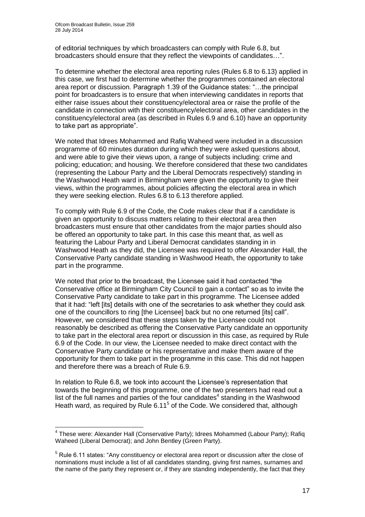1

of editorial techniques by which broadcasters can comply with Rule 6.8, but broadcasters should ensure that they reflect the viewpoints of candidates…".

To determine whether the electoral area reporting rules (Rules 6.8 to 6.13) applied in this case, we first had to determine whether the programmes contained an electoral area report or discussion. Paragraph 1.39 of the Guidance states: "…the principal point for broadcasters is to ensure that when interviewing candidates in reports that either raise issues about their constituency/electoral area or raise the profile of the candidate in connection with their constituency/electoral area, other candidates in the constituency/electoral area (as described in Rules 6.9 and 6.10) have an opportunity to take part as appropriate".

We noted that Idrees Mohammed and Rafiq Waheed were included in a discussion programme of 60 minutes duration during which they were asked questions about, and were able to give their views upon, a range of subjects including: crime and policing; education; and housing. We therefore considered that these two candidates (representing the Labour Party and the Liberal Democrats respectively) standing in the Washwood Heath ward in Birmingham were given the opportunity to give their views, within the programmes, about policies affecting the electoral area in which they were seeking election. Rules 6.8 to 6.13 therefore applied.

To comply with Rule 6.9 of the Code, the Code makes clear that if a candidate is given an opportunity to discuss matters relating to their electoral area then broadcasters must ensure that other candidates from the major parties should also be offered an opportunity to take part. In this case this meant that, as well as featuring the Labour Party and Liberal Democrat candidates standing in in Washwood Heath as they did, the Licensee was required to offer Alexander Hall, the Conservative Party candidate standing in Washwood Heath, the opportunity to take part in the programme.

We noted that prior to the broadcast, the Licensee said it had contacted "the Conservative office at Birmingham City Council to gain a contact" so as to invite the Conservative Party candidate to take part in this programme. The Licensee added that it had: "left [its] details with one of the secretaries to ask whether they could ask one of the councillors to ring [the Licensee] back but no one returned [its] call". However, we considered that these steps taken by the Licensee could not reasonably be described as offering the Conservative Party candidate an opportunity to take part in the electoral area report or discussion in this case, as required by Rule 6.9 of the Code. In our view, the Licensee needed to make direct contact with the Conservative Party candidate or his representative and make them aware of the opportunity for them to take part in the programme in this case. This did not happen and therefore there was a breach of Rule 6.9.

In relation to Rule 6.8, we took into account the Licensee's representation that towards the beginning of this programme, one of the two presenters had read out a list of the full names and parties of the four candidates $4$  standing in the Washwood Heath ward, as required by Rule  $6.11<sup>5</sup>$  of the Code. We considered that, although

<sup>&</sup>lt;sup>4</sup> These were: Alexander Hall (Conservative Party); Idrees Mohammed (Labour Party); Rafiq Waheed (Liberal Democrat); and John Bentley (Green Party).

 $<sup>5</sup>$  Rule 6.11 states: "Any constituency or electoral area report or discussion after the close of</sup> nominations must include a list of all candidates standing, giving first names, surnames and the name of the party they represent or, if they are standing independently, the fact that they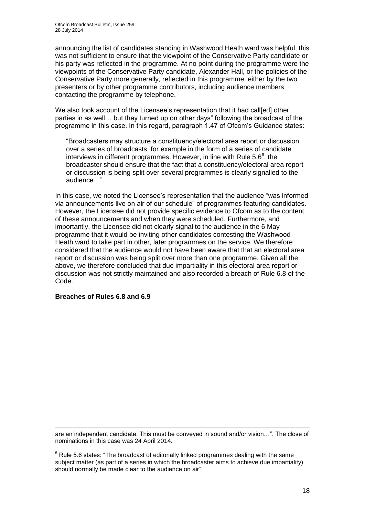announcing the list of candidates standing in Washwood Heath ward was helpful, this was not sufficient to ensure that the viewpoint of the Conservative Party candidate or his party was reflected in the programme. At no point during the programme were the viewpoints of the Conservative Party candidate, Alexander Hall, or the policies of the Conservative Party more generally, reflected in this programme, either by the two presenters or by other programme contributors, including audience members contacting the programme by telephone.

We also took account of the Licensee's representation that it had call[ed] other parties in as well… but they turned up on other days" following the broadcast of the programme in this case. In this regard, paragraph 1.47 of Ofcom's Guidance states:

"Broadcasters may structure a constituency/electoral area report or discussion over a series of broadcasts, for example in the form of a series of candidate interviews in different programmes. However, in line with Rule 5.6 $6$ , the broadcaster should ensure that the fact that a constituency/electoral area report or discussion is being split over several programmes is clearly signalled to the audience…".

In this case, we noted the Licensee's representation that the audience "was informed via announcements live on air of our schedule" of programmes featuring candidates. However, the Licensee did not provide specific evidence to Ofcom as to the content of these announcements and when they were scheduled. Furthermore, and importantly, the Licensee did not clearly signal to the audience in the 6 May programme that it would be inviting other candidates contesting the Washwood Heath ward to take part in other, later programmes on the service. We therefore considered that the audience would not have been aware that that an electoral area report or discussion was being split over more than one programme. Given all the above, we therefore concluded that due impartiality in this electoral area report or discussion was not strictly maintained and also recorded a breach of Rule 6.8 of the Code.

#### **Breaches of Rules 6.8 and 6.9**

1 are an independent candidate. This must be conveyed in sound and/or vision…". The close of nominations in this case was 24 April 2014.

 $6$  Rule 5.6 states: "The broadcast of editorially linked programmes dealing with the same subject matter (as part of a series in which the broadcaster aims to achieve due impartiality) should normally be made clear to the audience on air".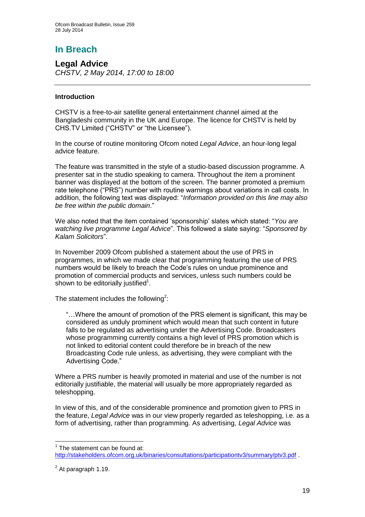# **In Breach**

**Legal Advice** *CHSTV, 2 May 2014, 17:00 to 18:00*

#### **Introduction**

CHSTV is a free-to-air satellite general entertainment channel aimed at the Bangladeshi community in the UK and Europe. The licence for CHSTV is held by CHS.TV Limited ("CHSTV" or "the Licensee").

In the course of routine monitoring Ofcom noted *Legal Advice*, an hour-long legal advice feature.

The feature was transmitted in the style of a studio-based discussion programme. A presenter sat in the studio speaking to camera. Throughout the item a prominent banner was displayed at the bottom of the screen. The banner promoted a premium rate telephone ("PRS") number with routine warnings about variations in call costs. In addition, the following text was displayed: "*Information provided on this line may also be free within the public domain*."

We also noted that the item contained 'sponsorship' slates which stated: "*You are watching live programme Legal Advice*". This followed a slate saying: "*Sponsored by Kalam Solicitors*".

In November 2009 Ofcom published a statement about the use of PRS in programmes, in which we made clear that programming featuring the use of PRS numbers would be likely to breach the Code's rules on undue prominence and promotion of commercial products and services, unless such numbers could be shown to be editorially justified $1$ .

The statement includes the following<sup>2</sup>:

"…Where the amount of promotion of the PRS element is significant, this may be considered as unduly prominent which would mean that such content in future falls to be regulated as advertising under the Advertising Code. Broadcasters whose programming currently contains a high level of PRS promotion which is not linked to editorial content could therefore be in breach of the new Broadcasting Code rule unless, as advertising, they were compliant with the Advertising Code."

Where a PRS number is heavily promoted in material and use of the number is not editorially justifiable, the material will usually be more appropriately regarded as teleshopping.

In view of this, and of the considerable prominence and promotion given to PRS in the feature, *Legal Advice* was in our view properly regarded as teleshopping, i.e. as a form of advertising, rather than programming. As advertising, *Legal Advice* was

 1 The statement can be found at: <http://stakeholders.ofcom.org.uk/binaries/consultations/participationtv3/summary/ptv3.pdf> .

 $2$  At paragraph 1.19.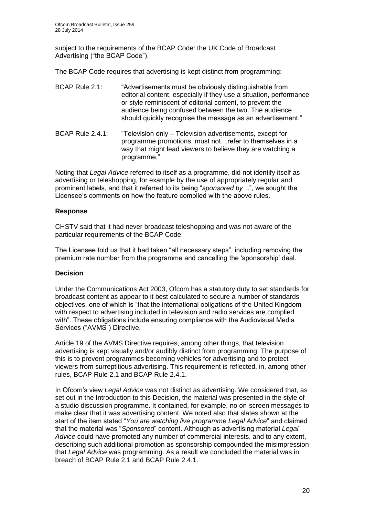subject to the requirements of the BCAP Code: the UK Code of Broadcast Advertising ("the BCAP Code").

The BCAP Code requires that advertising is kept distinct from programming:

- BCAP Rule 2.1: "Advertisements must be obviously distinguishable from editorial content, especially if they use a situation, performance or style reminiscent of editorial content, to prevent the audience being confused between the two. The audience should quickly recognise the message as an advertisement."
- BCAP Rule 2.4.1: "Television only Television advertisements, except for programme promotions, must not…refer to themselves in a way that might lead viewers to believe they are watching a programme."

Noting that *Legal Advice* referred to itself as a programme, did not identify itself as advertising or teleshopping, for example by the use of appropriately regular and prominent labels, and that it referred to its being "*sponsored by…*", we sought the Licensee's comments on how the feature complied with the above rules.

#### **Response**

CHSTV said that it had never broadcast teleshopping and was not aware of the particular requirements of the BCAP Code.

The Licensee told us that it had taken "all necessary steps", including removing the premium rate number from the programme and cancelling the 'sponsorship' deal.

#### **Decision**

Under the Communications Act 2003, Ofcom has a statutory duty to set standards for broadcast content as appear to it best calculated to secure a number of standards objectives, one of which is "that the international obligations of the United Kingdom with respect to advertising included in television and radio services are complied with". These obligations include ensuring compliance with the Audiovisual Media Services ("AVMS") Directive.

Article 19 of the AVMS Directive requires, among other things, that television advertising is kept visually and/or audibly distinct from programming. The purpose of this is to prevent programmes becoming vehicles for advertising and to protect viewers from surreptitious advertising. This requirement is reflected, in, among other rules, BCAP Rule 2.1 and BCAP Rule 2.4.1.

In Ofcom's view *Legal Advice* was not distinct as advertising. We considered that, as set out in the Introduction to this Decision, the material was presented in the style of a studio discussion programme. It contained, for example, no on-screen messages to make clear that it was advertising content. We noted also that slates shown at the start of the item stated "*You are watching live programme Legal Advice*" and claimed that the material was "*Sponsored*" content. Although as advertising material *Legal Advice* could have promoted any number of commercial interests, and to any extent, describing such additional promotion as sponsorship compounded the misimpression that *Legal Advice* was programming. As a result we concluded the material was in breach of BCAP Rule 2.1 and BCAP Rule 2.4.1.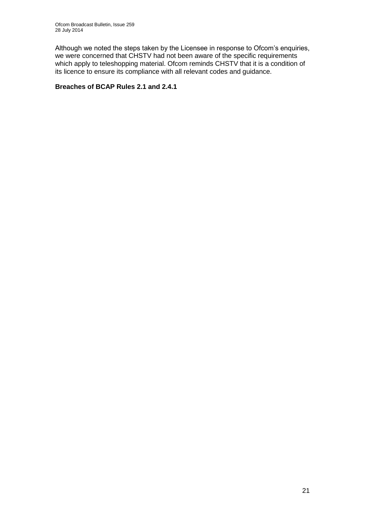Although we noted the steps taken by the Licensee in response to Ofcom's enquiries, we were concerned that CHSTV had not been aware of the specific requirements which apply to teleshopping material. Ofcom reminds CHSTV that it is a condition of its licence to ensure its compliance with all relevant codes and guidance.

#### **Breaches of BCAP Rules 2.1 and 2.4.1**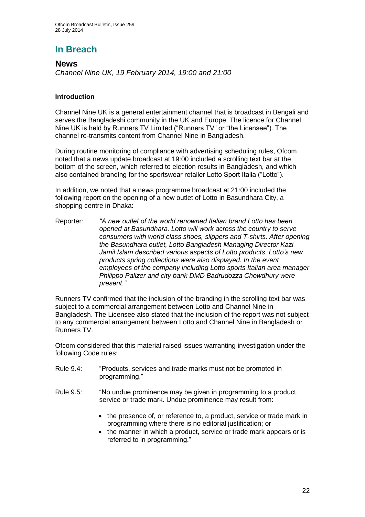# **In Breach**

## **News**

*Channel Nine UK, 19 February 2014, 19:00 and 21:00*

#### **Introduction**

Channel Nine UK is a general entertainment channel that is broadcast in Bengali and serves the Bangladeshi community in the UK and Europe. The licence for Channel Nine UK is held by Runners TV Limited ("Runners TV" or "the Licensee"). The channel re-transmits content from Channel Nine in Bangladesh.

During routine monitoring of compliance with advertising scheduling rules, Ofcom noted that a news update broadcast at 19:00 included a scrolling text bar at the bottom of the screen, which referred to election results in Bangladesh, and which also contained branding for the sportswear retailer Lotto Sport Italia ("Lotto").

In addition, we noted that a news programme broadcast at 21:00 included the following report on the opening of a new outlet of Lotto in Basundhara City, a shopping centre in Dhaka:

Reporter: *"A new outlet of the world renowned Italian brand Lotto has been opened at Basundhara. Lotto will work across the country to serve consumers with world class shoes, slippers and T-shirts. After opening the Basundhara outlet, Lotto Bangladesh Managing Director Kazi Jamil Islam described various aspects of Lotto products. Lotto's new products spring collections were also displayed. In the event employees of the company including Lotto sports Italian area manager Philippo Palizer and city bank DMD Badrudozza Chowdhury were present."*

Runners TV confirmed that the inclusion of the branding in the scrolling text bar was subject to a commercial arrangement between Lotto and Channel Nine in Bangladesh. The Licensee also stated that the inclusion of the report was not subject to any commercial arrangement between Lotto and Channel Nine in Bangladesh or Runners TV.

Ofcom considered that this material raised issues warranting investigation under the following Code rules:

- Rule 9.4: "Products, services and trade marks must not be promoted in programming."
- Rule 9.5: "No undue prominence may be given in programming to a product, service or trade mark. Undue prominence may result from:
	- the presence of, or reference to, a product, service or trade mark in programming where there is no editorial justification; or
	- the manner in which a product, service or trade mark appears or is referred to in programming."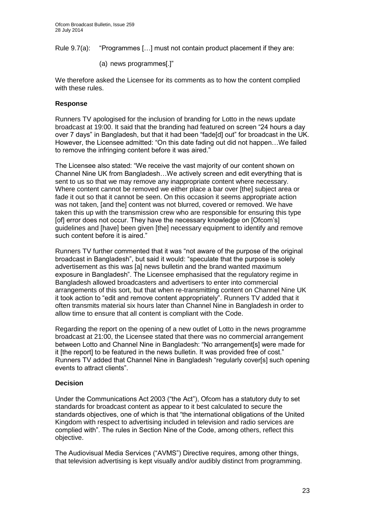Rule 9.7(a): "Programmes […] must not contain product placement if they are:

(a) news programmes[.]"

We therefore asked the Licensee for its comments as to how the content complied with these rules.

#### **Response**

Runners TV apologised for the inclusion of branding for Lotto in the news update broadcast at 19:00. It said that the branding had featured on screen "24 hours a day over 7 days" in Bangladesh, but that it had been "fade[d] out" for broadcast in the UK. However, the Licensee admitted: "On this date fading out did not happen…We failed to remove the infringing content before it was aired."

The Licensee also stated: "We receive the vast majority of our content shown on Channel Nine UK from Bangladesh…We actively screen and edit everything that is sent to us so that we may remove any inappropriate content where necessary. Where content cannot be removed we either place a bar over [the] subject area or fade it out so that it cannot be seen. On this occasion it seems appropriate action was not taken, [and the] content was not blurred, covered or removed. We have taken this up with the transmission crew who are responsible for ensuring this type [of] error does not occur. They have the necessary knowledge on [Ofcom's] guidelines and [have] been given [the] necessary equipment to identify and remove such content before it is aired."

Runners TV further commented that it was "not aware of the purpose of the original broadcast in Bangladesh", but said it would: "speculate that the purpose is solely advertisement as this was [a] news bulletin and the brand wanted maximum exposure in Bangladesh". The Licensee emphasised that the regulatory regime in Bangladesh allowed broadcasters and advertisers to enter into commercial arrangements of this sort, but that when re-transmitting content on Channel Nine UK it took action to "edit and remove content appropriately". Runners TV added that it often transmits material six hours later than Channel Nine in Bangladesh in order to allow time to ensure that all content is compliant with the Code.

Regarding the report on the opening of a new outlet of Lotto in the news programme broadcast at 21:00, the Licensee stated that there was no commercial arrangement between Lotto and Channel Nine in Bangladesh: "No arrangement[s] were made for it [the report] to be featured in the news bulletin. It was provided free of cost." Runners TV added that Channel Nine in Bangladesh "regularly cover[s] such opening events to attract clients".

#### **Decision**

Under the Communications Act 2003 ("the Act"), Ofcom has a statutory duty to set standards for broadcast content as appear to it best calculated to secure the standards objectives, one of which is that "the international obligations of the United Kingdom with respect to advertising included in television and radio services are complied with". The rules in Section Nine of the Code, among others, reflect this objective.

The Audiovisual Media Services ("AVMS") Directive requires, among other things, that television advertising is kept visually and/or audibly distinct from programming.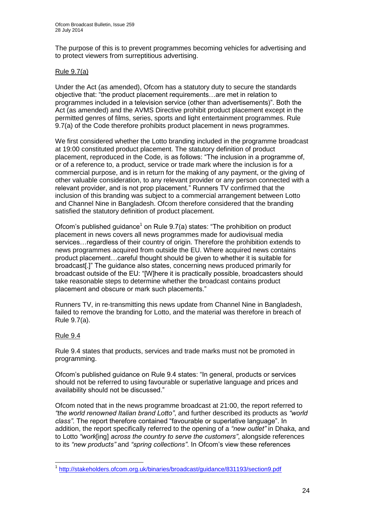The purpose of this is to prevent programmes becoming vehicles for advertising and to protect viewers from surreptitious advertising.

#### Rule 9.7(a)

Under the Act (as amended), Ofcom has a statutory duty to secure the standards objective that: "the product placement requirements…are met in relation to programmes included in a television service (other than advertisements)". Both the Act (as amended) and the AVMS Directive prohibit product placement except in the permitted genres of films, series, sports and light entertainment programmes. Rule 9.7(a) of the Code therefore prohibits product placement in news programmes.

We first considered whether the Lotto branding included in the programme broadcast at 19:00 constituted product placement. The statutory definition of product placement, reproduced in the Code, is as follows: "The inclusion in a programme of, or of a reference to, a product, service or trade mark where the inclusion is for a commercial purpose, and is in return for the making of any payment, or the giving of other valuable consideration, to any relevant provider or any person connected with a relevant provider, and is not prop placement." Runners TV confirmed that the inclusion of this branding was subject to a commercial arrangement between Lotto and Channel Nine in Bangladesh. Ofcom therefore considered that the branding satisfied the statutory definition of product placement.

Ofcom's published guidance<sup>1</sup> on Rule  $9.7(a)$  states: "The prohibition on product placement in news covers all news programmes made for audiovisual media services…regardless of their country of origin. Therefore the prohibition extends to news programmes acquired from outside the EU. Where acquired news contains product placement…careful thought should be given to whether it is suitable for broadcast[.]" The guidance also states, concerning news produced primarily for broadcast outside of the EU: "[W]here it is practically possible, broadcasters should take reasonable steps to determine whether the broadcast contains product placement and obscure or mark such placements."

Runners TV, in re-transmitting this news update from Channel Nine in Bangladesh, failed to remove the branding for Lotto, and the material was therefore in breach of Rule 9.7(a).

#### Rule 9.4

Rule 9.4 states that products, services and trade marks must not be promoted in programming.

Ofcom's published guidance on Rule 9.4 states: "In general, products or services should not be referred to using favourable or superlative language and prices and availability should not be discussed."

Ofcom noted that in the news programme broadcast at 21:00, the report referred to *"the world renowned Italian brand Lotto"*, and further described its products as *"world class"*. The report therefore contained "favourable or superlative language". In addition, the report specifically referred to the opening of a *"new outlet"* in Dhaka, and to Lotto *"work*[ing] *across the country to serve the customers"*, alongside references to its *"new products"* and *"spring collections"*. In Ofcom's view these references

<sup>1</sup> <sup>1</sup> <http://stakeholders.ofcom.org.uk/binaries/broadcast/guidance/831193/section9.pdf>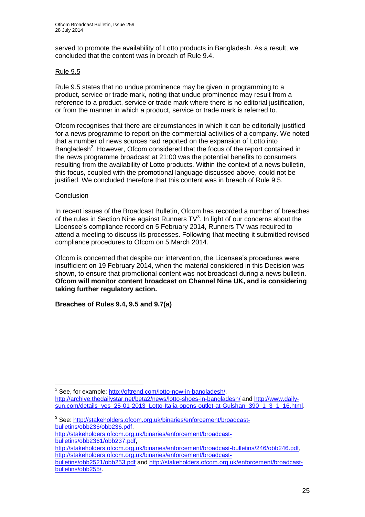served to promote the availability of Lotto products in Bangladesh. As a result, we concluded that the content was in breach of Rule 9.4.

#### Rule 9.5

Rule 9.5 states that no undue prominence may be given in programming to a product, service or trade mark, noting that undue prominence may result from a reference to a product, service or trade mark where there is no editorial justification, or from the manner in which a product, service or trade mark is referred to.

Ofcom recognises that there are circumstances in which it can be editorially justified for a news programme to report on the commercial activities of a company. We noted that a number of news sources had reported on the expansion of Lotto into Bangladesh<sup>2</sup>. However, Ofcom considered that the focus of the report contained in the news programme broadcast at 21:00 was the potential benefits to consumers resulting from the availability of Lotto products. Within the context of a news bulletin, this focus, coupled with the promotional language discussed above, could not be justified. We concluded therefore that this content was in breach of Rule 9.5.

#### **Conclusion**

1

In recent issues of the Broadcast Bulletin, Ofcom has recorded a number of breaches of the rules in Section Nine against Runners  $TV<sup>3</sup>$ . In light of our concerns about the Licensee's compliance record on 5 February 2014, Runners TV was required to attend a meeting to discuss its processes. Following that meeting it submitted revised compliance procedures to Ofcom on 5 March 2014.

Ofcom is concerned that despite our intervention, the Licensee's procedures were insufficient on 19 February 2014, when the material considered in this Decision was shown, to ensure that promotional content was not broadcast during a news bulletin. **Ofcom will monitor content broadcast on Channel Nine UK, and is considering taking further regulatory action.**

**Breaches of Rules 9.4, 9.5 and 9.7(a)**

<sup>&</sup>lt;sup>2</sup> See, for example: [http://oftrend.com/lotto-now-in-bangladesh/,](http://oftrend.com/lotto-now-in-bangladesh/)

<http://archive.thedailystar.net/beta2/news/lotto-shoes-in-bangladesh/> and [http://www.daily](http://www.daily-sun.com/details_yes_25-01-2013_Lotto-Italia-opens-outlet-at-Gulshan_390_1_3_1_16.html)[sun.com/details\\_yes\\_25-01-2013\\_Lotto-Italia-opens-outlet-at-Gulshan\\_390\\_1\\_3\\_1\\_16.html.](http://www.daily-sun.com/details_yes_25-01-2013_Lotto-Italia-opens-outlet-at-Gulshan_390_1_3_1_16.html)

<sup>&</sup>lt;sup>3</sup> See: [http://stakeholders.ofcom.org.uk/binaries/enforcement/broadcast](http://stakeholders.ofcom.org.uk/binaries/enforcement/broadcast-bulletins/obb236/obb236.pdf)[bulletins/obb236/obb236.pdf,](http://stakeholders.ofcom.org.uk/binaries/enforcement/broadcast-bulletins/obb236/obb236.pdf)

[http://stakeholders.ofcom.org.uk/binaries/enforcement/broadcast](http://stakeholders.ofcom.org.uk/binaries/enforcement/broadcast-bulletins/obb2361/obb237.pdf)[bulletins/obb2361/obb237.pdf,](http://stakeholders.ofcom.org.uk/binaries/enforcement/broadcast-bulletins/obb2361/obb237.pdf)

[http://stakeholders.ofcom.org.uk/binaries/enforcement/broadcast-bulletins/246/obb246.pdf,](http://stakeholders.ofcom.org.uk/binaries/enforcement/broadcast-bulletins/246/obb246.pdf) [http://stakeholders.ofcom.org.uk/binaries/enforcement/broadcast-](http://stakeholders.ofcom.org.uk/binaries/enforcement/broadcast-bulletins/obb2521/obb253.pdf)

[bulletins/obb2521/obb253.pdf](http://stakeholders.ofcom.org.uk/binaries/enforcement/broadcast-bulletins/obb2521/obb253.pdf) and [http://stakeholders.ofcom.org.uk/enforcement/broadcast](http://stakeholders.ofcom.org.uk/enforcement/broadcast-bulletins/obb255/)[bulletins/obb255/.](http://stakeholders.ofcom.org.uk/enforcement/broadcast-bulletins/obb255/)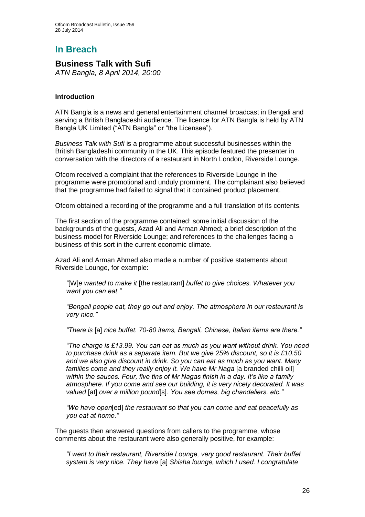# **In Breach**

## **Business Talk with Sufi**

*ATN Bangla, 8 April 2014, 20:00*

#### **Introduction**

ATN Bangla is a news and general entertainment channel broadcast in Bengali and serving a British Bangladeshi audience. The licence for ATN Bangla is held by ATN Bangla UK Limited ("ATN Bangla" or "the Licensee").

*Business Talk with Sufi* is a programme about successful businesses within the British Bangladeshi community in the UK. This episode featured the presenter in conversation with the directors of a restaurant in North London, Riverside Lounge.

Ofcom received a complaint that the references to Riverside Lounge in the programme were promotional and unduly prominent. The complainant also believed that the programme had failed to signal that it contained product placement.

Ofcom obtained a recording of the programme and a full translation of its contents.

The first section of the programme contained: some initial discussion of the backgrounds of the guests, Azad Ali and Arman Ahmed; a brief description of the business model for Riverside Lounge; and references to the challenges facing a business of this sort in the current economic climate.

Azad Ali and Arman Ahmed also made a number of positive statements about Riverside Lounge, for example:

*"*[W]*e wanted to make it* [the restaurant] *buffet to give choices. Whatever you want you can eat."* 

*"Bengali people eat, they go out and enjoy. The atmosphere in our restaurant is very nice."*

*"There is* [a] *nice buffet. 70-80 items, Bengali, Chinese, Italian items are there."*

*"The charge is £13.99. You can eat as much as you want without drink. You need to purchase drink as a separate item. But we give 25% discount, so it is £10.50 and we also give discount in drink. So you can eat as much as you want. Many*  families come and they really enjoy it. We have Mr Naga <sup>[a branded chilli oil]</sup> *within the sauces. Four, five tins of Mr Nagas finish in a day. It's like a family atmosphere. If you come and see our building, it is very nicely decorated. It was valued* [at] *over a million pound*[s]*. You see domes, big chandeliers, etc."*

*"We have open*[ed] *the restaurant so that you can come and eat peacefully as you eat at home."*

The guests then answered questions from callers to the programme, whose comments about the restaurant were also generally positive, for example:

*"I went to their restaurant, Riverside Lounge, very good restaurant. Their buffet system is very nice. They have* [a] *Shisha lounge, which I used. I congratulate*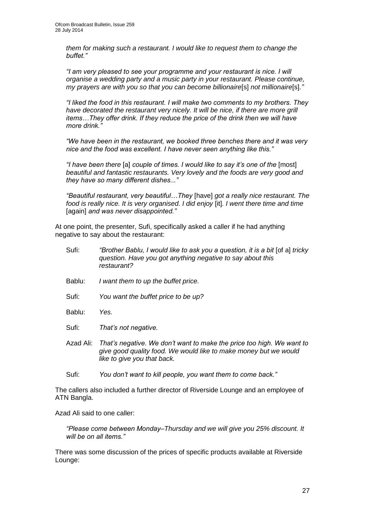*them for making such a restaurant. I would like to request them to change the buffet."*

*"I am very pleased to see your programme and your restaurant is nice. I will organise a wedding party and a music party in your restaurant. Please continue, my prayers are with you so that you can become billionaire*[s] *not millionaire*[s]*."*

*"I liked the food in this restaurant. I will make two comments to my brothers. They have decorated the restaurant very nicely. It will be nice, if there are more grill items…They offer drink. If they reduce the price of the drink then we will have more drink."*

*"We have been in the restaurant, we booked three benches there and it was very nice and the food was excellent. I have never seen anything like this."*

*"I have been there* [a] *couple of times. I would like to say it's one of the* [most] *beautiful and fantastic restaurants. Very lovely and the foods are very good and they have so many different dishes..."*

*"Beautiful restaurant, very beautiful…They* [have] *got a really nice restaurant. The food is really nice. It is very organised. I did enjoy* [it]*. I went there time and time*  [again] *and was never disappointed."*

At one point, the presenter, Sufi, specifically asked a caller if he had anything negative to say about the restaurant:

| Sufi:     | "Brother Bablu, I would like to ask you a question, it is a bit [of a] tricky<br>question. Have you got anything negative to say about this<br>restaurant?               |
|-----------|--------------------------------------------------------------------------------------------------------------------------------------------------------------------------|
| Bablu:    | I want them to up the buffet price.                                                                                                                                      |
| Sufi:     | You want the buffet price to be up?                                                                                                                                      |
| Bablu:    | Yes.                                                                                                                                                                     |
| Sufi:     | That's not negative.                                                                                                                                                     |
| Azad Ali: | That's negative. We don't want to make the price too high. We want to<br>give good quality food. We would like to make money but we would<br>like to give you that back. |
| Sufi:     | You don't want to kill people, you want them to come back."                                                                                                              |

The callers also included a further director of Riverside Lounge and an employee of ATN Bangla.

Azad Ali said to one caller:

*"Please come between Monday–Thursday and we will give you 25% discount. It will be on all items."*

There was some discussion of the prices of specific products available at Riverside Lounge: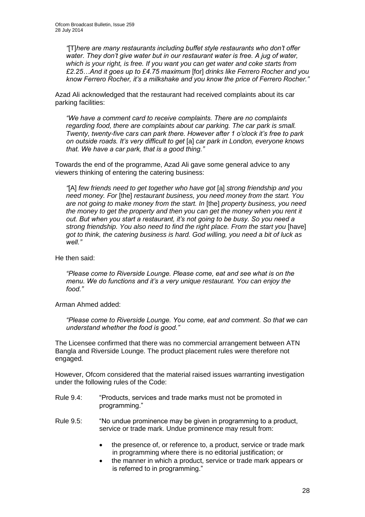*"*[T]*here are many restaurants including buffet style restaurants who don't offer water. They don't give water but in our restaurant water is free. A jug of water, which is your right, is free. If you want you can get water and coke starts from £2.25…And it goes up to £4.75 maximum* [for] *drinks like Ferrero Rocher and you know Ferrero Rocher, it's a milkshake and you know the price of Ferrero Rocher."* 

Azad Ali acknowledged that the restaurant had received complaints about its car parking facilities:

*"We have a comment card to receive complaints. There are no complaints regarding food, there are complaints about car parking. The car park is small. Twenty, twenty-five cars can park there. However after 1 o'clock it's free to park on outside roads. It's very difficult to get* [a] *car park in London, everyone knows that. We have a car park, that is a good thing."*

Towards the end of the programme, Azad Ali gave some general advice to any viewers thinking of entering the catering business:

*"*[A] *few friends need to get together who have got* [a] *strong friendship and you need money. For* [the] *restaurant business, you need money from the start. You are not going to make money from the start. In* [the] *property business, you need the money to get the property and then you can get the money when you rent it out. But when you start a restaurant, it's not going to be busy. So you need a strong friendship. You also need to find the right place. From the start you* [have] *got to think, the catering business is hard. God willing, you need a bit of luck as well."*

He then said:

*"Please come to Riverside Lounge. Please come, eat and see what is on the menu. We do functions and it's a very unique restaurant. You can enjoy the food."*

Arman Ahmed added:

*"Please come to Riverside Lounge. You come, eat and comment. So that we can understand whether the food is good."*

The Licensee confirmed that there was no commercial arrangement between ATN Bangla and Riverside Lounge. The product placement rules were therefore not engaged.

However, Ofcom considered that the material raised issues warranting investigation under the following rules of the Code:

- Rule 9.4: "Products, services and trade marks must not be promoted in programming."
- Rule 9.5: "No undue prominence may be given in programming to a product, service or trade mark. Undue prominence may result from:
	- the presence of, or reference to, a product, service or trade mark in programming where there is no editorial justification; or
	- the manner in which a product, service or trade mark appears or is referred to in programming."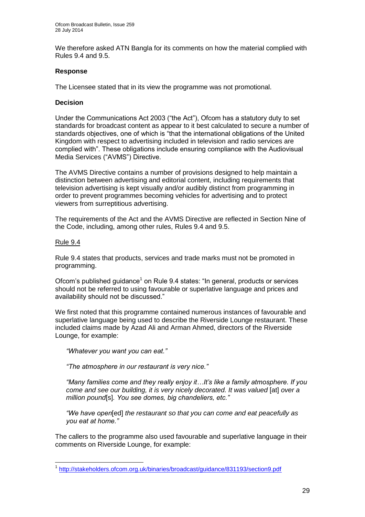We therefore asked ATN Bangla for its comments on how the material complied with Rules 9.4 and 9.5.

#### **Response**

The Licensee stated that in its view the programme was not promotional.

#### **Decision**

Under the Communications Act 2003 ("the Act"), Ofcom has a statutory duty to set standards for broadcast content as appear to it best calculated to secure a number of standards objectives, one of which is "that the international obligations of the United Kingdom with respect to advertising included in television and radio services are complied with". These obligations include ensuring compliance with the Audiovisual Media Services ("AVMS") Directive.

The AVMS Directive contains a number of provisions designed to help maintain a distinction between advertising and editorial content, including requirements that television advertising is kept visually and/or audibly distinct from programming in order to prevent programmes becoming vehicles for advertising and to protect viewers from surreptitious advertising.

The requirements of the Act and the AVMS Directive are reflected in Section Nine of the Code, including, among other rules, Rules 9.4 and 9.5.

#### Rule 9.4

1

Rule 9.4 states that products, services and trade marks must not be promoted in programming.

Ofcom's published guidance<sup>1</sup> on Rule 9.4 states: "In general, products or services should not be referred to using favourable or superlative language and prices and availability should not be discussed."

We first noted that this programme contained numerous instances of favourable and superlative language being used to describe the Riverside Lounge restaurant. These included claims made by Azad Ali and Arman Ahmed, directors of the Riverside Lounge, for example:

*"Whatever you want you can eat."* 

*"The atmosphere in our restaurant is very nice."*

*"Many families come and they really enjoy it…It's like a family atmosphere. If you come and see our building, it is very nicely decorated. It was valued [at] over a million pound*[s]*. You see domes, big chandeliers, etc."*

*"We have open*[ed] *the restaurant so that you can come and eat peacefully as you eat at home."*

The callers to the programme also used favourable and superlative language in their comments on Riverside Lounge, for example:

<sup>&</sup>lt;sup>1</sup> <http://stakeholders.ofcom.org.uk/binaries/broadcast/guidance/831193/section9.pdf>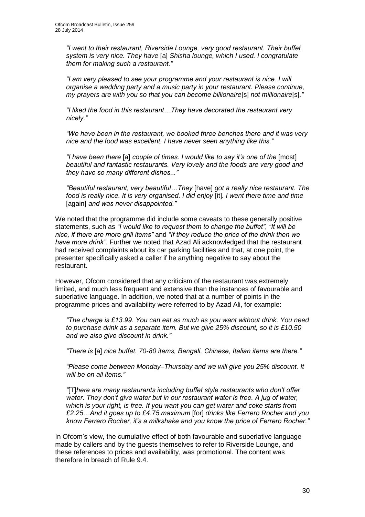*"I went to their restaurant, Riverside Lounge, very good restaurant. Their buffet system is very nice. They have* [a] *Shisha lounge, which I used. I congratulate them for making such a restaurant."*

*"I am very pleased to see your programme and your restaurant is nice. I will organise a wedding party and a music party in your restaurant. Please continue, my prayers are with you so that you can become billionaire*[s] *not millionaire*[s]*."*

*"I liked the food in this restaurant…They have decorated the restaurant very nicely."*

*"We have been in the restaurant, we booked three benches there and it was very nice and the food was excellent. I have never seen anything like this."*

*"I have been there* [a] *couple of times. I would like to say it's one of the* [most] *beautiful and fantastic restaurants. Very lovely and the foods are very good and they have so many different dishes..."*

*"Beautiful restaurant, very beautiful…They* [have] *got a really nice restaurant. The food is really nice. It is very organised. I did enjoy* [it]*. I went there time and time*  [again] *and was never disappointed."*

We noted that the programme did include some caveats to these generally positive statements, such as *"I would like to request them to change the buffet"*, *"It will be nice, if there are more grill items"* and *"If they reduce the price of the drink then we have more drink"*. Further we noted that Azad Ali acknowledged that the restaurant had received complaints about its car parking facilities and that, at one point, the presenter specifically asked a caller if he anything negative to say about the restaurant.

However, Ofcom considered that any criticism of the restaurant was extremely limited, and much less frequent and extensive than the instances of favourable and superlative language. In addition, we noted that at a number of points in the programme prices and availability were referred to by Azad Ali, for example:

*"The charge is £13.99. You can eat as much as you want without drink. You need to purchase drink as a separate item. But we give 25% discount, so it is £10.50 and we also give discount in drink."*

*"There is* [a] *nice buffet. 70-80 items, Bengali, Chinese, Italian items are there."*

*"Please come between Monday–Thursday and we will give you 25% discount. It will be on all items."*

*"*[T]*here are many restaurants including buffet style restaurants who don't offer water. They don't give water but in our restaurant water is free. A jug of water, which is your right, is free. If you want you can get water and coke starts from £2.25…And it goes up to £4.75 maximum* [for] *drinks like Ferrero Rocher and you know Ferrero Rocher, it's a milkshake and you know the price of Ferrero Rocher."* 

In Ofcom's view, the cumulative effect of both favourable and superlative language made by callers and by the guests themselves to refer to Riverside Lounge, and these references to prices and availability, was promotional. The content was therefore in breach of Rule 9.4.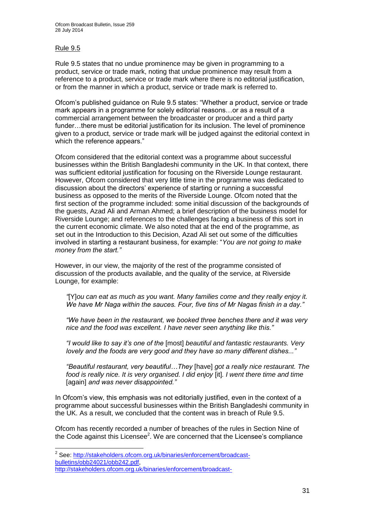#### Rule 9.5

1

Rule 9.5 states that no undue prominence may be given in programming to a product, service or trade mark, noting that undue prominence may result from a reference to a product, service or trade mark where there is no editorial justification, or from the manner in which a product, service or trade mark is referred to.

Ofcom's published guidance on Rule 9.5 states: "Whether a product, service or trade mark appears in a programme for solely editorial reasons…or as a result of a commercial arrangement between the broadcaster or producer and a third party funder...there must be editorial justification for its inclusion. The level of prominence given to a product, service or trade mark will be judged against the editorial context in which the reference appears."

Ofcom considered that the editorial context was a programme about successful businesses within the British Bangladeshi community in the UK. In that context, there was sufficient editorial justification for focusing on the Riverside Lounge restaurant. However, Ofcom considered that very little time in the programme was dedicated to discussion about the directors' experience of starting or running a successful business as opposed to the merits of the Riverside Lounge. Ofcom noted that the first section of the programme included: some initial discussion of the backgrounds of the guests, Azad Ali and Arman Ahmed; a brief description of the business model for Riverside Lounge; and references to the challenges facing a business of this sort in the current economic climate. We also noted that at the end of the programme, as set out in the Introduction to this Decision, Azad Ali set out some of the difficulties involved in starting a restaurant business, for example: "*You are not going to make money from the start."* 

However, in our view, the majority of the rest of the programme consisted of discussion of the products available, and the quality of the service, at Riverside Lounge, for example:

*"*[Y]*ou can eat as much as you want. Many families come and they really enjoy it. We have Mr Naga within the sauces. Four, five tins of Mr Nagas finish in a day."*

*"We have been in the restaurant, we booked three benches there and it was very nice and the food was excellent. I have never seen anything like this."*

*"I would like to say it's one of the* [most] *beautiful and fantastic restaurants. Very lovely and the foods are very good and they have so many different dishes..."*

*"Beautiful restaurant, very beautiful…They* [have] *got a really nice restaurant. The food is really nice. It is very organised. I did enjoy* [it]*. I went there time and time*  [again] *and was never disappointed."*

In Ofcom's view, this emphasis was not editorially justified, even in the context of a programme about successful businesses within the British Bangladeshi community in the UK. As a result, we concluded that the content was in breach of Rule 9.5.

Ofcom has recently recorded a number of breaches of the rules in Section Nine of the Code against this Licensee<sup>2</sup>. We are concerned that the Licensee's compliance

<sup>&</sup>lt;sup>2</sup> See: [http://stakeholders.ofcom.org.uk/binaries/enforcement/broadcast](http://stakeholders.ofcom.org.uk/binaries/enforcement/broadcast-bulletins/obb24021/obb242.pdf)[bulletins/obb24021/obb242.pdf,](http://stakeholders.ofcom.org.uk/binaries/enforcement/broadcast-bulletins/obb24021/obb242.pdf) [http://stakeholders.ofcom.org.uk/binaries/enforcement/broadcast-](http://stakeholders.ofcom.org.uk/binaries/enforcement/broadcast-bulletins/obb2521/obb253.pdf)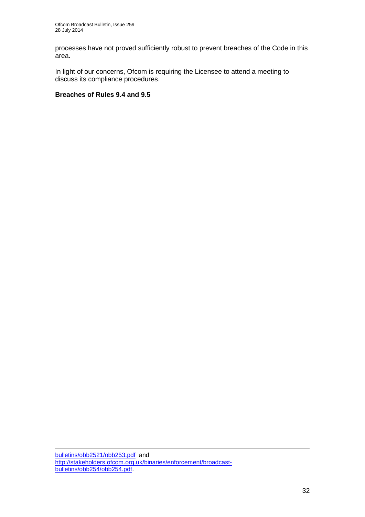processes have not proved sufficiently robust to prevent breaches of the Code in this area.

In light of our concerns, Ofcom is requiring the Licensee to attend a meeting to discuss its compliance procedures.

#### **Breaches of Rules 9.4 and 9.5**

[bulletins/obb2521/obb253.pdf](http://stakeholders.ofcom.org.uk/binaries/enforcement/broadcast-bulletins/obb2521/obb253.pdf) and [http://stakeholders.ofcom.org.uk/binaries/enforcement/broadcast](http://stakeholders.ofcom.org.uk/binaries/enforcement/broadcast-bulletins/obb254/obb254.pdf)[bulletins/obb254/obb254.pdf.](http://stakeholders.ofcom.org.uk/binaries/enforcement/broadcast-bulletins/obb254/obb254.pdf)

1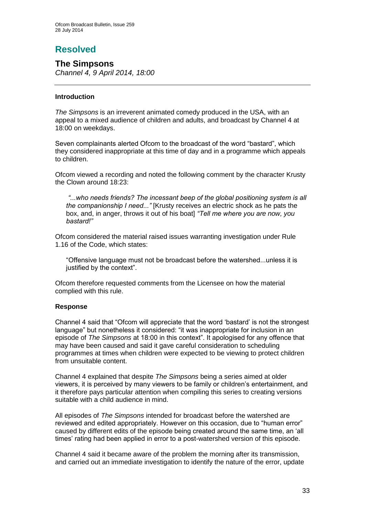# **Resolved**

**The Simpsons**  *Channel 4, 9 April 2014, 18:00*

#### **Introduction**

*The Simpsons* is an irreverent animated comedy produced in the USA, with an appeal to a mixed audience of children and adults, and broadcast by Channel 4 at 18:00 on weekdays.

Seven complainants alerted Ofcom to the broadcast of the word "bastard", which they considered inappropriate at this time of day and in a programme which appeals to children.

Ofcom viewed a recording and noted the following comment by the character Krusty the Clown around 18:23:

*"...who needs friends? The incessant beep of the global positioning system is all the companionship I need..."* [Krusty receives an electric shock as he pats the box, and, in anger, throws it out of his boat] *"Tell me where you are now, you bastard!"*

Ofcom considered the material raised issues warranting investigation under Rule 1.16 of the Code, which states:

"Offensive language must not be broadcast before the watershed...unless it is justified by the context".

Ofcom therefore requested comments from the Licensee on how the material complied with this rule.

#### **Response**

Channel 4 said that "Ofcom will appreciate that the word 'bastard' is not the strongest language" but nonetheless it considered: "it was inappropriate for inclusion in an episode of *The Simpsons* at 18:00 in this context". It apologised for any offence that may have been caused and said it gave careful consideration to scheduling programmes at times when children were expected to be viewing to protect children from unsuitable content.

Channel 4 explained that despite *The Simpsons* being a series aimed at older viewers, it is perceived by many viewers to be family or children's entertainment, and it therefore pays particular attention when compiling this series to creating versions suitable with a child audience in mind.

All episodes of *The Simpsons* intended for broadcast before the watershed are reviewed and edited appropriately. However on this occasion, due to "human error" caused by different edits of the episode being created around the same time, an 'all times' rating had been applied in error to a post-watershed version of this episode.

Channel 4 said it became aware of the problem the morning after its transmission, and carried out an immediate investigation to identify the nature of the error, update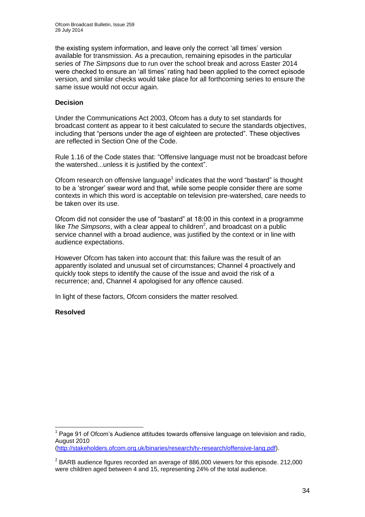the existing system information, and leave only the correct 'all times' version available for transmission. As a precaution, remaining episodes in the particular series of *The Simpsons* due to run over the school break and across Easter 2014 were checked to ensure an 'all times' rating had been applied to the correct episode version, and similar checks would take place for all forthcoming series to ensure the same issue would not occur again.

#### **Decision**

Under the Communications Act 2003, Ofcom has a duty to set standards for broadcast content as appear to it best calculated to secure the standards objectives, including that "persons under the age of eighteen are protected". These objectives are reflected in Section One of the Code.

Rule 1.16 of the Code states that: "Offensive language must not be broadcast before the watershed...unless it is justified by the context".

Ofcom research on offensive language $1$  indicates that the word "bastard" is thought to be a 'stronger' swear word and that, while some people consider there are some contexts in which this word is acceptable on television pre-watershed, care needs to be taken over its use.

Ofcom did not consider the use of "bastard" at 18:00 in this context in a programme like  $The Simposons$ , with a clear appeal to children<sup>2</sup>, and broadcast on a public service channel with a broad audience, was justified by the context or in line with audience expectations.

However Ofcom has taken into account that: this failure was the result of an apparently isolated and unusual set of circumstances; Channel 4 proactively and quickly took steps to identify the cause of the issue and avoid the risk of a recurrence; and, Channel 4 apologised for any offence caused.

In light of these factors, Ofcom considers the matter resolved.

#### **Resolved**

1

 $1$  Page 91 of Ofcom's Audience attitudes towards offensive language on television and radio, August 2010

[<sup>\(</sup>http://stakeholders.ofcom.org.uk/binaries/research/tv-research/offensive-lang.pdf\)](http://stakeholders.ofcom.org.uk/binaries/research/tv-research/offensive-lang.pdf).

 $2$  BARB audience figures recorded an average of 886,000 viewers for this episode. 212,000 were children aged between 4 and 15, representing 24% of the total audience.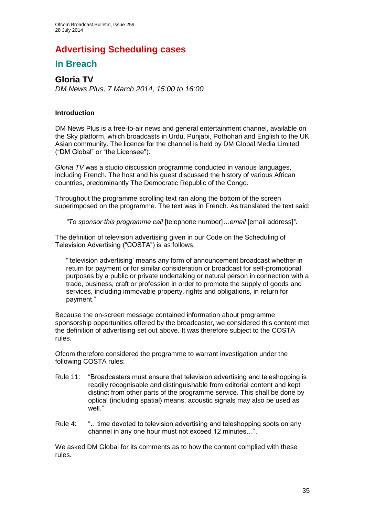# **Advertising Scheduling cases**

## **In Breach**

## **Gloria TV** *DM News Plus, 7 March 2014, 15:00 to 16:00*

#### **Introduction**

DM News Plus is a free-to-air news and general entertainment channel, available on the Sky platform, which broadcasts in Urdu, Punjabi, Pothohari and English to the UK Asian community. The licence for the channel is held by DM Global Media Limited ("DM Global" or "the Licensee").

*Gloria TV* was a studio discussion programme conducted in various languages, including French. The host and his guest discussed the history of various African countries, predominantly The Democratic Republic of the Congo.

Throughout the programme scrolling text ran along the bottom of the screen superimposed on the programme. The text was in French. As translated the text said:

*"To sponsor this programme call* [telephone number]*…email* [email address]*"*.

The definition of television advertising given in our Code on the Scheduling of Television Advertising ("COSTA") is as follows:

"'television advertising' means any form of announcement broadcast whether in return for payment or for similar consideration or broadcast for self-promotional purposes by a public or private undertaking or natural person in connection with a trade, business, craft or profession in order to promote the supply of goods and services, including immovable property, rights and obligations, in return for payment."

Because the on-screen message contained information about programme sponsorship opportunities offered by the broadcaster, we considered this content met the definition of advertising set out above. It was therefore subject to the COSTA rules.

Ofcom therefore considered the programme to warrant investigation under the following COSTA rules:

- Rule 11: "Broadcasters must ensure that television advertising and teleshopping is readily recognisable and distinguishable from editorial content and kept distinct from other parts of the programme service. This shall be done by optical (including spatial) means; acoustic signals may also be used as well."
- Rule 4: "…time devoted to television advertising and teleshopping spots on any channel in any one hour must not exceed 12 minutes…".

We asked DM Global for its comments as to how the content complied with these rules.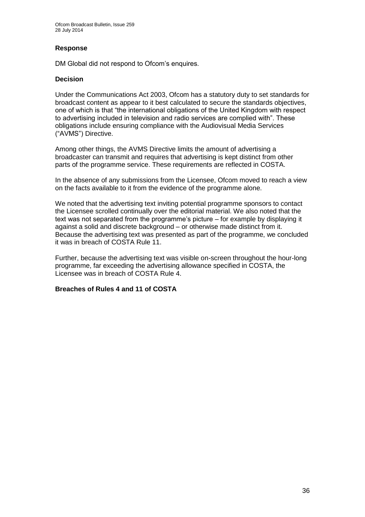#### **Response**

DM Global did not respond to Ofcom's enquires.

#### **Decision**

Under the Communications Act 2003, Ofcom has a statutory duty to set standards for broadcast content as appear to it best calculated to secure the standards objectives, one of which is that "the international obligations of the United Kingdom with respect to advertising included in television and radio services are complied with". These obligations include ensuring compliance with the Audiovisual Media Services ("AVMS") Directive.

Among other things, the AVMS Directive limits the amount of advertising a broadcaster can transmit and requires that advertising is kept distinct from other parts of the programme service. These requirements are reflected in COSTA.

In the absence of any submissions from the Licensee, Ofcom moved to reach a view on the facts available to it from the evidence of the programme alone.

We noted that the advertising text inviting potential programme sponsors to contact the Licensee scrolled continually over the editorial material. We also noted that the text was not separated from the programme's picture – for example by displaying it against a solid and discrete background – or otherwise made distinct from it. Because the advertising text was presented as part of the programme, we concluded it was in breach of COSTA Rule 11.

Further, because the advertising text was visible on-screen throughout the hour-long programme, far exceeding the advertising allowance specified in COSTA, the Licensee was in breach of COSTA Rule 4.

#### **Breaches of Rules 4 and 11 of COSTA**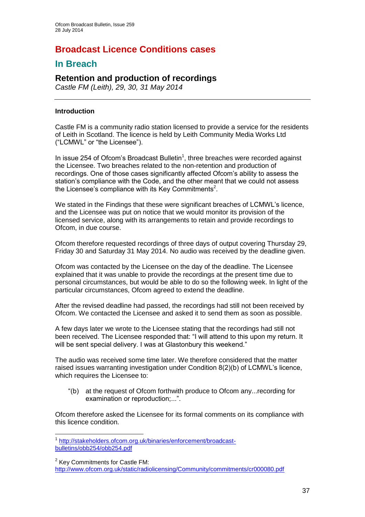# **Broadcast Licence Conditions cases**

## **In Breach**

## **Retention and production of recordings**

*Castle FM (Leith), 29, 30, 31 May 2014*

#### **Introduction**

1

Castle FM is a community radio station licensed to provide a service for the residents of Leith in Scotland. The licence is held by Leith Community Media Works Ltd ("LCMWL" or "the Licensee").

In issue 254 of Ofcom's Broadcast Bulletin<sup>1</sup>, three breaches were recorded against the Licensee. Two breaches related to the non-retention and production of recordings. One of those cases significantly affected Ofcom's ability to assess the station's compliance with the Code, and the other meant that we could not assess the Licensee's compliance with its Key Commitments<sup>2</sup>.

We stated in the Findings that these were significant breaches of LCMWL's licence, and the Licensee was put on notice that we would monitor its provision of the licensed service, along with its arrangements to retain and provide recordings to Ofcom, in due course.

Ofcom therefore requested recordings of three days of output covering Thursday 29, Friday 30 and Saturday 31 May 2014. No audio was received by the deadline given.

Ofcom was contacted by the Licensee on the day of the deadline. The Licensee explained that it was unable to provide the recordings at the present time due to personal circumstances, but would be able to do so the following week. In light of the particular circumstances, Ofcom agreed to extend the deadline.

After the revised deadline had passed, the recordings had still not been received by Ofcom. We contacted the Licensee and asked it to send them as soon as possible.

A few days later we wrote to the Licensee stating that the recordings had still not been received. The Licensee responded that: "I will attend to this upon my return. It will be sent special delivery. I was at Glastonbury this weekend."

The audio was received some time later. We therefore considered that the matter raised issues warranting investigation under Condition 8(2)(b) of LCMWL's licence, which requires the Licensee to:

"(b) at the request of Ofcom forthwith produce to Ofcom any...recording for examination or reproduction;...".

Ofcom therefore asked the Licensee for its formal comments on its compliance with this licence condition.

<sup>1</sup> [http://stakeholders.ofcom.org.uk/binaries/enforcement/broadcast](http://stakeholders.ofcom.org.uk/binaries/enforcement/broadcast-bulletins/obb254/obb254.pdf)[bulletins/obb254/obb254.pdf](http://stakeholders.ofcom.org.uk/binaries/enforcement/broadcast-bulletins/obb254/obb254.pdf)

 $2$  Key Commitments for Castle FM: <http://www.ofcom.org.uk/static/radiolicensing/Community/commitments/cr000080.pdf>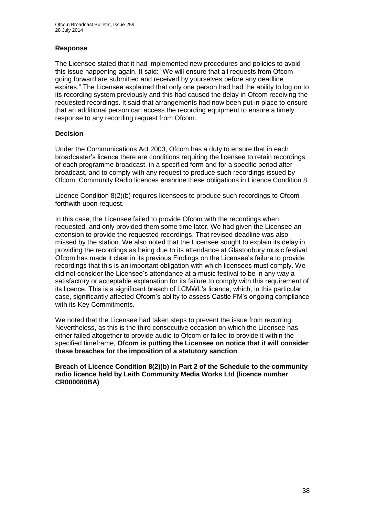#### **Response**

The Licensee stated that it had implemented new procedures and policies to avoid this issue happening again. It said: "We will ensure that all requests from Ofcom going forward are submitted and received by yourselves before any deadline expires." The Licensee explained that only one person had had the ability to log on to its recording system previously and this had caused the delay in Ofcom receiving the requested recordings. It said that arrangements had now been put in place to ensure that an additional person can access the recording equipment to ensure a timely response to any recording request from Ofcom.

#### **Decision**

Under the Communications Act 2003, Ofcom has a duty to ensure that in each broadcaster's licence there are conditions requiring the licensee to retain recordings of each programme broadcast, in a specified form and for a specific period after broadcast, and to comply with any request to produce such recordings issued by Ofcom. Community Radio licences enshrine these obligations in Licence Condition 8.

Licence Condition 8(2)(b) requires licensees to produce such recordings to Ofcom forthwith upon request.

In this case, the Licensee failed to provide Ofcom with the recordings when requested, and only provided them some time later. We had given the Licensee an extension to provide the requested recordings. That revised deadline was also missed by the station. We also noted that the Licensee sought to explain its delay in providing the recordings as being due to its attendance at Glastonbury music festival. Ofcom has made it clear in its previous Findings on the Licensee's failure to provide recordings that this is an important obligation with which licensees must comply. We did not consider the Licensee's attendance at a music festival to be in any way a satisfactory or acceptable explanation for its failure to comply with this requirement of its licence. This is a significant breach of LCMWL's licence, which, in this particular case, significantly affected Ofcom's ability to assess Castle FM's ongoing compliance with its Key Commitments.

We noted that the Licensee had taken steps to prevent the issue from recurring. Nevertheless, as this is the third consecutive occasion on which the Licensee has either failed altogether to provide audio to Ofcom or failed to provide it within the specified timeframe, **Ofcom is putting the Licensee on notice that it will consider these breaches for the imposition of a statutory sanction**.

**Breach of Licence Condition 8(2)(b) in Part 2 of the Schedule to the community radio licence held by Leith Community Media Works Ltd (licence number CR000080BA)**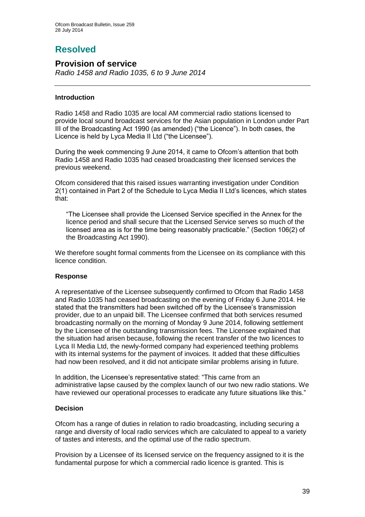# **Resolved**

## **Provision of service**

*Radio 1458 and Radio 1035, 6 to 9 June 2014*

#### **Introduction**

Radio 1458 and Radio 1035 are local AM commercial radio stations licensed to provide local sound broadcast services for the Asian population in London under Part III of the Broadcasting Act 1990 (as amended) ("the Licence"). In both cases, the Licence is held by Lyca Media II Ltd ("the Licensee").

During the week commencing 9 June 2014, it came to Ofcom's attention that both Radio 1458 and Radio 1035 had ceased broadcasting their licensed services the previous weekend.

Ofcom considered that this raised issues warranting investigation under Condition 2(1) contained in Part 2 of the Schedule to Lyca Media II Ltd's licences, which states that:

"The Licensee shall provide the Licensed Service specified in the Annex for the licence period and shall secure that the Licensed Service serves so much of the licensed area as is for the time being reasonably practicable." (Section 106(2) of the Broadcasting Act 1990).

We therefore sought formal comments from the Licensee on its compliance with this licence condition.

#### **Response**

A representative of the Licensee subsequently confirmed to Ofcom that Radio 1458 and Radio 1035 had ceased broadcasting on the evening of Friday 6 June 2014. He stated that the transmitters had been switched off by the Licensee's transmission provider, due to an unpaid bill. The Licensee confirmed that both services resumed broadcasting normally on the morning of Monday 9 June 2014, following settlement by the Licensee of the outstanding transmission fees. The Licensee explained that the situation had arisen because, following the recent transfer of the two licences to Lyca II Media Ltd, the newly-formed company had experienced teething problems with its internal systems for the payment of invoices. It added that these difficulties had now been resolved, and it did not anticipate similar problems arising in future.

In addition, the Licensee's representative stated: "This came from an administrative lapse caused by the complex launch of our two new radio stations. We have reviewed our operational processes to eradicate any future situations like this."

#### **Decision**

Ofcom has a range of duties in relation to radio broadcasting, including securing a range and diversity of local radio services which are calculated to appeal to a variety of tastes and interests, and the optimal use of the radio spectrum.

Provision by a Licensee of its licensed service on the frequency assigned to it is the fundamental purpose for which a commercial radio licence is granted. This is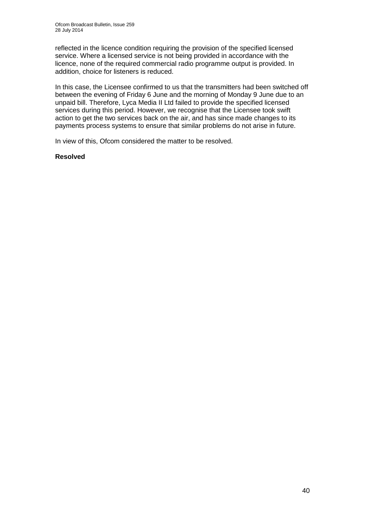reflected in the licence condition requiring the provision of the specified licensed service. Where a licensed service is not being provided in accordance with the licence, none of the required commercial radio programme output is provided. In addition, choice for listeners is reduced.

In this case, the Licensee confirmed to us that the transmitters had been switched off between the evening of Friday 6 June and the morning of Monday 9 June due to an unpaid bill. Therefore, Lyca Media II Ltd failed to provide the specified licensed services during this period. However, we recognise that the Licensee took swift action to get the two services back on the air, and has since made changes to its payments process systems to ensure that similar problems do not arise in future.

In view of this, Ofcom considered the matter to be resolved.

#### **Resolved**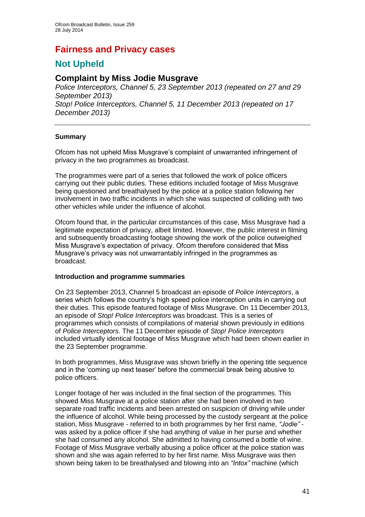# **Fairness and Privacy cases**

## **Not Upheld**

## **Complaint by Miss Jodie Musgrave**

*Police Interceptors, Channel 5, 23 September 2013 (repeated on 27 and 29 September 2013) Stop! Police Interceptors, Channel 5, 11 December 2013 (repeated on 17 December 2013)*

#### **Summary**

Ofcom has not upheld Miss Musgrave's complaint of unwarranted infringement of privacy in the two programmes as broadcast.

The programmes were part of a series that followed the work of police officers carrying out their public duties. These editions included footage of Miss Musgrave being questioned and breathalysed by the police at a police station following her involvement in two traffic incidents in which she was suspected of colliding with two other vehicles while under the influence of alcohol.

Ofcom found that, in the particular circumstances of this case, Miss Musgrave had a legitimate expectation of privacy, albeit limited. However, the public interest in filming and subsequently broadcasting footage showing the work of the police outweighed Miss Musgrave's expectation of privacy. Ofcom therefore considered that Miss Musgrave's privacy was not unwarrantably infringed in the programmes as broadcast.

#### **Introduction and programme summaries**

On 23 September 2013, Channel 5 broadcast an episode of *Police Interceptors*, a series which follows the country's high speed police interception units in carrying out their duties. This episode featured footage of Miss Musgrave. On 11 December 2013, an episode of *Stop! Police Interceptors* was broadcast. This is a series of programmes which consists of compilations of material shown previously in editions of *Police Interceptors*. The 11 December episode of *Stop! Police Interceptors* included virtually identical footage of Miss Musgrave which had been shown earlier in the 23 September programme.

In both programmes, Miss Musgrave was shown briefly in the opening title sequence and in the 'coming up next teaser' before the commercial break being abusive to police officers.

Longer footage of her was included in the final section of the programmes. This showed Miss Musgrave at a police station after she had been involved in two separate road traffic incidents and been arrested on suspicion of driving while under the influence of alcohol. While being processed by the custody sergeant at the police station, Miss Musgrave - referred to in both programmes by her first name, *"Jodie"* was asked by a police officer if she had anything of value in her purse and whether she had consumed any alcohol. She admitted to having consumed a bottle of wine. Footage of Miss Musgrave verbally abusing a police officer at the police station was shown and she was again referred to by her first name. Miss Musgrave was then shown being taken to be breathalysed and blowing into an *"Intox"* machine (which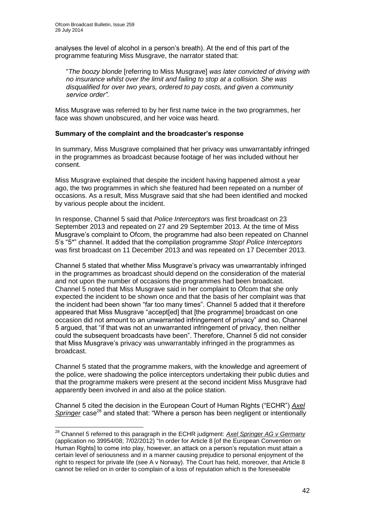1

analyses the level of alcohol in a person's breath). At the end of this part of the programme featuring Miss Musgrave, the narrator stated that:

"*The boozy blonde* [referring to Miss Musgrave] *was later convicted of driving with no insurance whilst over the limit and failing to stop at a collision. She was disqualified for over two years, ordered to pay costs, and given a community service order".* 

Miss Musgrave was referred to by her first name twice in the two programmes, her face was shown unobscured, and her voice was heard.

#### **Summary of the complaint and the broadcaster's response**

In summary, Miss Musgrave complained that her privacy was unwarrantably infringed in the programmes as broadcast because footage of her was included without her consent.

Miss Musgrave explained that despite the incident having happened almost a year ago, the two programmes in which she featured had been repeated on a number of occasions. As a result, Miss Musgrave said that she had been identified and mocked by various people about the incident.

In response, Channel 5 said that *Police Interceptors* was first broadcast on 23 September 2013 and repeated on 27 and 29 September 2013. At the time of Miss Musgrave's complaint to Ofcom, the programme had also been repeated on Channel 5's "5\*" channel. It added that the compilation programme *Stop! Police Interceptors* was first broadcast on 11 December 2013 and was repeated on 17 December 2013.

Channel 5 stated that whether Miss Musgrave's privacy was unwarrantably infringed in the programmes as broadcast should depend on the consideration of the material and not upon the number of occasions the programmes had been broadcast. Channel 5 noted that Miss Musgrave said in her complaint to Ofcom that she only expected the incident to be shown once and that the basis of her complaint was that the incident had been shown "far too many times". Channel 5 added that it therefore appeared that Miss Musgrave "accept[ed] that [the programme] broadcast on one occasion did not amount to an unwarranted infringement of privacy" and so, Channel 5 argued, that "if that was not an unwarranted infringement of privacy, then neither could the subsequent broadcasts have been". Therefore, Channel 5 did not consider that Miss Musgrave's privacy was unwarrantably infringed in the programmes as broadcast.

Channel 5 stated that the programme makers, with the knowledge and agreement of the police, were shadowing the police interceptors undertaking their public duties and that the programme makers were present at the second incident Miss Musgrave had apparently been involved in and also at the police station.

Channel 5 cited the decision in the European Court of Human Rights ("ECHR") *Axel Springer* case<sup>28</sup> and stated that: "Where a person has been negligent or intentionally

<sup>28</sup> Channel 5 referred to this paragraph in the ECHR judgment: *Axel Springer AG v Germany* (application no 39954/08; 7/02/2012) "In order for Article 8 [of the European Convention on Human Rights] to come into play, however, an attack on a person's reputation must attain a certain level of seriousness and in a manner causing prejudice to personal enjoyment of the right to respect for private life (see A v Norway). The Court has held, moreover, that Article 8 cannot be relied on in order to complain of a loss of reputation which is the foreseeable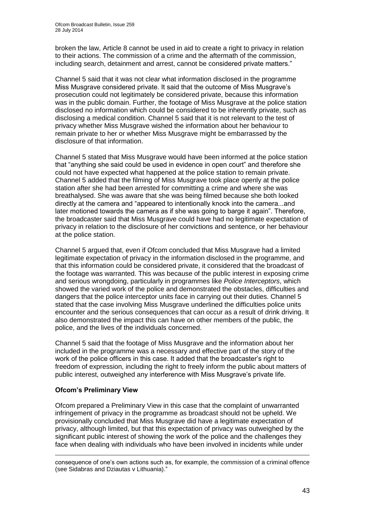broken the law, Article 8 cannot be used in aid to create a right to privacy in relation to their actions. The commission of a crime and the aftermath of the commission, including search, detainment and arrest, cannot be considered private matters."

Channel 5 said that it was not clear what information disclosed in the programme Miss Musgrave considered private. It said that the outcome of Miss Musgrave's prosecution could not legitimately be considered private, because this information was in the public domain. Further, the footage of Miss Musgrave at the police station disclosed no information which could be considered to be inherently private, such as disclosing a medical condition. Channel 5 said that it is not relevant to the test of privacy whether Miss Musgrave wished the information about her behaviour to remain private to her or whether Miss Musgrave might be embarrassed by the disclosure of that information.

Channel 5 stated that Miss Musgrave would have been informed at the police station that "anything she said could be used in evidence in open court" and therefore she could not have expected what happened at the police station to remain private. Channel 5 added that the filming of Miss Musgrave took place openly at the police station after she had been arrested for committing a crime and where she was breathalysed. She was aware that she was being filmed because she both looked directly at the camera and "appeared to intentionally knock into the camera...and later motioned towards the camera as if she was going to barge it again". Therefore, the broadcaster said that Miss Musgrave could have had no legitimate expectation of privacy in relation to the disclosure of her convictions and sentence, or her behaviour at the police station.

Channel 5 argued that, even if Ofcom concluded that Miss Musgrave had a limited legitimate expectation of privacy in the information disclosed in the programme, and that this information could be considered private, it considered that the broadcast of the footage was warranted. This was because of the public interest in exposing crime and serious wrongdoing, particularly in programmes like *Police Interceptors*, which showed the varied work of the police and demonstrated the obstacles, difficulties and dangers that the police interceptor units face in carrying out their duties. Channel 5 stated that the case involving Miss Musgrave underlined the difficulties police units encounter and the serious consequences that can occur as a result of drink driving. It also demonstrated the impact this can have on other members of the public, the police, and the lives of the individuals concerned.

Channel 5 said that the footage of Miss Musgrave and the information about her included in the programme was a necessary and effective part of the story of the work of the police officers in this case. It added that the broadcaster's right to freedom of expression, including the right to freely inform the public about matters of public interest, outweighed any interference with Miss Musgrave's private life.

#### **Ofcom's Preliminary View**

1

Ofcom prepared a Preliminary View in this case that the complaint of unwarranted infringement of privacy in the programme as broadcast should not be upheld. We provisionally concluded that Miss Musgrave did have a legitimate expectation of privacy, although limited, but that this expectation of privacy was outweighed by the significant public interest of showing the work of the police and the challenges they face when dealing with individuals who have been involved in incidents while under

consequence of one's own actions such as, for example, the commission of a criminal offence (see Sidabras and Dziautas v Lithuania)."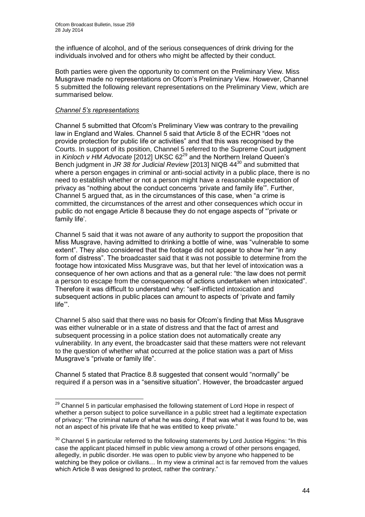the influence of alcohol, and of the serious consequences of drink driving for the individuals involved and for others who might be affected by their conduct.

Both parties were given the opportunity to comment on the Preliminary View. Miss Musgrave made no representations on Ofcom's Preliminary View. However, Channel 5 submitted the following relevant representations on the Preliminary View, which are summarised below.

#### *Channel 5's representations*

Channel 5 submitted that Ofcom's Preliminary View was contrary to the prevailing law in England and Wales. Channel 5 said that Article 8 of the ECHR "does not provide protection for public life or activities" and that this was recognised by the Courts. In support of its position, Channel 5 referred to the Supreme Court judgment in *Kinloch v HM Advocate* [2012] UKSC 62<sup>29</sup> and the Northern Ireland Queen's Bench judgment in *JR 38 for Judicial Review* [2013] NIQB 44<sup>30</sup> and submitted that where a person engages in criminal or anti-social activity in a public place, there is no need to establish whether or not a person might have a reasonable expectation of privacy as "nothing about the conduct concerns 'private and family life'". Further, Channel 5 argued that, as in the circumstances of this case, when "a crime is committed, the circumstances of the arrest and other consequences which occur in public do not engage Article 8 because they do not engage aspects of "'private or family life'.

Channel 5 said that it was not aware of any authority to support the proposition that Miss Musgrave, having admitted to drinking a bottle of wine, was "vulnerable to some extent". They also considered that the footage did not appear to show her "in any form of distress". The broadcaster said that it was not possible to determine from the footage how intoxicated Miss Musgrave was, but that her level of intoxication was a consequence of her own actions and that as a general rule: "the law does not permit a person to escape from the consequences of actions undertaken when intoxicated". Therefore it was difficult to understand why: "self-inflicted intoxication and subsequent actions in public places can amount to aspects of 'private and family life'".

Channel 5 also said that there was no basis for Ofcom's finding that Miss Musgrave was either vulnerable or in a state of distress and that the fact of arrest and subsequent processing in a police station does not automatically create any vulnerability. In any event, the broadcaster said that these matters were not relevant to the question of whether what occurred at the police station was a part of Miss Musgrave's "private or family life".

Channel 5 stated that Practice 8.8 suggested that consent would "normally" be required if a person was in a "sensitive situation". However, the broadcaster argued

<sup>1</sup>  $29$  Channel 5 in particular emphasised the following statement of Lord Hope in respect of whether a person subject to police surveillance in a public street had a legitimate expectation of privacy: "The criminal nature of what he was doing, if that was what it was found to be, was not an aspect of his private life that he was entitled to keep private."

 $30$  Channel 5 in particular referred to the following statements by Lord Justice Higgins: "In this case the applicant placed himself in public view among a crowd of other persons engaged, allegedly, in public disorder. He was open to public view by anyone who happened to be watching be they police or civilians… In my view a criminal act is far removed from the values which Article 8 was designed to protect, rather the contrary."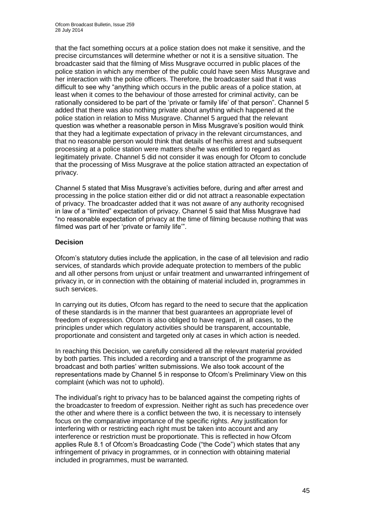that the fact something occurs at a police station does not make it sensitive, and the precise circumstances will determine whether or not it is a sensitive situation. The broadcaster said that the filming of Miss Musgrave occurred in public places of the police station in which any member of the public could have seen Miss Musgrave and her interaction with the police officers. Therefore, the broadcaster said that it was difficult to see why "anything which occurs in the public areas of a police station, at least when it comes to the behaviour of those arrested for criminal activity, can be rationally considered to be part of the 'private or family life' of that person". Channel 5 added that there was also nothing private about anything which happened at the police station in relation to Miss Musgrave. Channel 5 argued that the relevant question was whether a reasonable person in Miss Musgrave's position would think that they had a legitimate expectation of privacy in the relevant circumstances, and that no reasonable person would think that details of her/his arrest and subsequent processing at a police station were matters she/he was entitled to regard as legitimately private. Channel 5 did not consider it was enough for Ofcom to conclude that the processing of Miss Musgrave at the police station attracted an expectation of privacy.

Channel 5 stated that Miss Musgrave's activities before, during and after arrest and processing in the police station either did or did not attract a reasonable expectation of privacy. The broadcaster added that it was not aware of any authority recognised in law of a "limited" expectation of privacy. Channel 5 said that Miss Musgrave had "no reasonable expectation of privacy at the time of filming because nothing that was filmed was part of her 'private or family life'".

#### **Decision**

Ofcom's statutory duties include the application, in the case of all television and radio services, of standards which provide adequate protection to members of the public and all other persons from unjust or unfair treatment and unwarranted infringement of privacy in, or in connection with the obtaining of material included in, programmes in such services.

In carrying out its duties, Ofcom has regard to the need to secure that the application of these standards is in the manner that best guarantees an appropriate level of freedom of expression. Ofcom is also obliged to have regard, in all cases, to the principles under which regulatory activities should be transparent, accountable, proportionate and consistent and targeted only at cases in which action is needed.

In reaching this Decision, we carefully considered all the relevant material provided by both parties. This included a recording and a transcript of the programme as broadcast and both parties' written submissions. We also took account of the representations made by Channel 5 in response to Ofcom's Preliminary View on this complaint (which was not to uphold).

The individual's right to privacy has to be balanced against the competing rights of the broadcaster to freedom of expression. Neither right as such has precedence over the other and where there is a conflict between the two, it is necessary to intensely focus on the comparative importance of the specific rights. Any justification for interfering with or restricting each right must be taken into account and any interference or restriction must be proportionate. This is reflected in how Ofcom applies Rule 8.1 of Ofcom's Broadcasting Code ("the Code") which states that any infringement of privacy in programmes, or in connection with obtaining material included in programmes, must be warranted.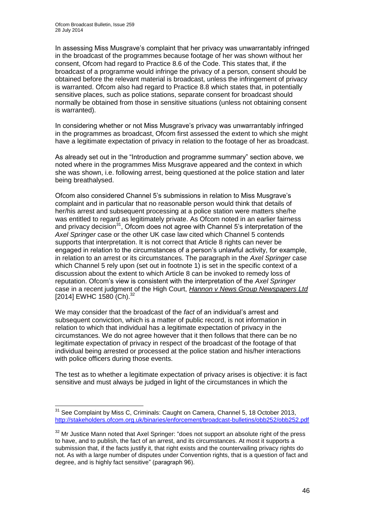In assessing Miss Musgrave's complaint that her privacy was unwarrantably infringed in the broadcast of the programmes because footage of her was shown without her consent, Ofcom had regard to Practice 8.6 of the Code. This states that, if the broadcast of a programme would infringe the privacy of a person, consent should be obtained before the relevant material is broadcast, unless the infringement of privacy is warranted. Ofcom also had regard to Practice 8.8 which states that, in potentially sensitive places, such as police stations, separate consent for broadcast should normally be obtained from those in sensitive situations (unless not obtaining consent is warranted).

In considering whether or not Miss Musgrave's privacy was unwarrantably infringed in the programmes as broadcast, Ofcom first assessed the extent to which she might have a legitimate expectation of privacy in relation to the footage of her as broadcast.

As already set out in the "Introduction and programme summary" section above, we noted where in the programmes Miss Musgrave appeared and the context in which she was shown, i.e. following arrest, being questioned at the police station and later being breathalysed.

Ofcom also considered Channel 5's submissions in relation to Miss Musgrave's complaint and in particular that no reasonable person would think that details of her/his arrest and subsequent processing at a police station were matters she/he was entitled to regard as legitimately private. As Ofcom noted in an earlier fairness and privacy decision<sup>31</sup>, Ofcom does not agree with Channel 5's interpretation of the *Axel Springer* case or the other UK case law cited which Channel 5 contends supports that interpretation. It is not correct that Article 8 rights can never be engaged in relation to the circumstances of a person's unlawful activity, for example, in relation to an arrest or its circumstances. The paragraph in the *Axel Springer* case which Channel 5 rely upon (set out in footnote 1) is set in the specific context of a discussion about the extent to which Article 8 can be invoked to remedy loss of reputation. Ofcom's view is consistent with the interpretation of the *Axel Springer* case in a recent judgment of the High Court, *Hannon v News Group Newspapers Ltd* [2014] EWHC 1580 (Ch). 32

We may consider that the broadcast of the *fact* of an individual's arrest and subsequent conviction, which is a matter of public record, is not information in relation to which that individual has a legitimate expectation of privacy in the circumstances. We do not agree however that it then follows that there can be no legitimate expectation of privacy in respect of the broadcast of the footage of that individual being arrested or processed at the police station and his/her interactions with police officers during those events.

The test as to whether a legitimate expectation of privacy arises is objective: it is fact sensitive and must always be judged in light of the circumstances in which the

<sup>1</sup> <sup>31</sup> See Complaint by Miss C, Criminals: Caught on Camera, Channel 5, 18 October 2013, <http://stakeholders.ofcom.org.uk/binaries/enforcement/broadcast-bulletins/obb252/obb252.pdf>

 $32$  Mr Justice Mann noted that Axel Springer: "does not support an absolute right of the press to have, and to publish, the fact of an arrest, and its circumstances. At most it supports a submission that, if the facts justify it, that right exists and the countervailing privacy rights do not. As with a large number of disputes under Convention rights, that is a question of fact and degree, and is highly fact sensitive" (paragraph 96).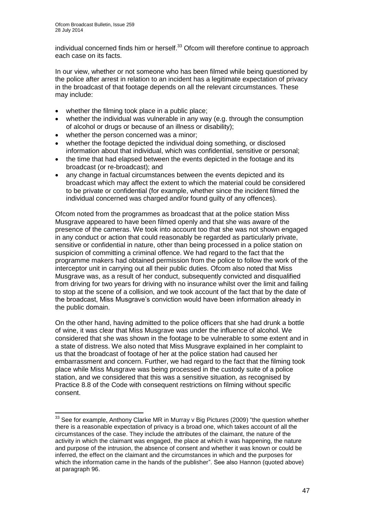1

individual concerned finds him or herself.<sup>33</sup> Ofcom will therefore continue to approach each case on its facts.

In our view, whether or not someone who has been filmed while being questioned by the police after arrest in relation to an incident has a legitimate expectation of privacy in the broadcast of that footage depends on all the relevant circumstances. These may include:

- whether the filming took place in a public place;
- whether the individual was vulnerable in any way (e.g. through the consumption of alcohol or drugs or because of an illness or disability);
- whether the person concerned was a minor;
- whether the footage depicted the individual doing something, or disclosed information about that individual, which was confidential, sensitive or personal;
- the time that had elapsed between the events depicted in the footage and its broadcast (or re-broadcast); and
- any change in factual circumstances between the events depicted and its broadcast which may affect the extent to which the material could be considered to be private or confidential (for example, whether since the incident filmed the individual concerned was charged and/or found guilty of any offences).

Ofcom noted from the programmes as broadcast that at the police station Miss Musgrave appeared to have been filmed openly and that she was aware of the presence of the cameras. We took into account too that she was not shown engaged in any conduct or action that could reasonably be regarded as particularly private, sensitive or confidential in nature, other than being processed in a police station on suspicion of committing a criminal offence. We had regard to the fact that the programme makers had obtained permission from the police to follow the work of the interceptor unit in carrying out all their public duties. Ofcom also noted that Miss Musgrave was, as a result of her conduct, subsequently convicted and disqualified from driving for two years for driving with no insurance whilst over the limit and failing to stop at the scene of a collision, and we took account of the fact that by the date of the broadcast, Miss Musgrave's conviction would have been information already in the public domain.

On the other hand, having admitted to the police officers that she had drunk a bottle of wine, it was clear that Miss Musgrave was under the influence of alcohol. We considered that she was shown in the footage to be vulnerable to some extent and in a state of distress. We also noted that Miss Musgrave explained in her complaint to us that the broadcast of footage of her at the police station had caused her embarrassment and concern. Further, we had regard to the fact that the filming took place while Miss Musgrave was being processed in the custody suite of a police station, and we considered that this was a sensitive situation, as recognised by Practice 8.8 of the Code with consequent restrictions on filming without specific consent.

 $33$  See for example, Anthony Clarke MR in Murray v Big Pictures (2009) "the question whether there is a reasonable expectation of privacy is a broad one, which takes account of all the circumstances of the case. They include the attributes of the claimant, the nature of the activity in which the claimant was engaged, the place at which it was happening, the nature and purpose of the intrusion, the absence of consent and whether it was known or could be inferred, the effect on the claimant and the circumstances in which and the purposes for which the information came in the hands of the publisher". See also Hannon (quoted above) at paragraph 96.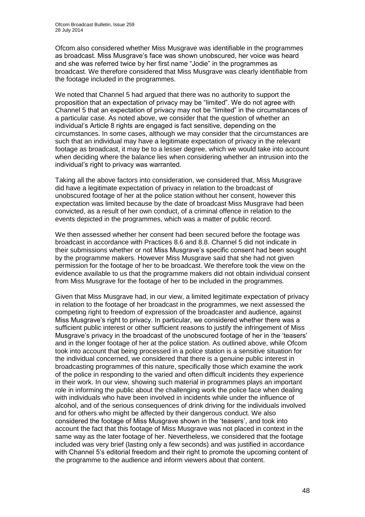Ofcom also considered whether Miss Musgrave was identifiable in the programmes as broadcast. Miss Musgrave's face was shown unobscured, her voice was heard and she was referred twice by her first name "Jodie" in the programmes as broadcast. We therefore considered that Miss Musgrave was clearly identifiable from the footage included in the programmes.

We noted that Channel 5 had argued that there was no authority to support the proposition that an expectation of privacy may be "limited". We do not agree with Channel 5 that an expectation of privacy may not be "limited" in the circumstances of a particular case. As noted above, we consider that the question of whether an individual's Article 8 rights are engaged is fact sensitive, depending on the circumstances. In some cases, although we may consider that the circumstances are such that an individual may have a legitimate expectation of privacy in the relevant footage as broadcast, it may be to a lesser degree, which we would take into account when deciding where the balance lies when considering whether an intrusion into the individual's right to privacy was warranted.

Taking all the above factors into consideration, we considered that, Miss Musgrave did have a legitimate expectation of privacy in relation to the broadcast of unobscured footage of her at the police station without her consent, however this expectation was limited because by the date of broadcast Miss Musgrave had been convicted, as a result of her own conduct, of a criminal offence in relation to the events depicted in the programmes, which was a matter of public record.

We then assessed whether her consent had been secured before the footage was broadcast in accordance with Practices 8.6 and 8.8. Channel 5 did not indicate in their submissions whether or not Miss Musgrave's specific consent had been sought by the programme makers. However Miss Musgrave said that she had not given permission for the footage of her to be broadcast. We therefore took the view on the evidence available to us that the programme makers did not obtain individual consent from Miss Musgrave for the footage of her to be included in the programmes.

Given that Miss Musgrave had, in our view, a limited legitimate expectation of privacy in relation to the footage of her broadcast in the programmes, we next assessed the competing right to freedom of expression of the broadcaster and audience, against Miss Musgrave's right to privacy. In particular, we considered whether there was a sufficient public interest or other sufficient reasons to justify the infringement of Miss Musgrave's privacy in the broadcast of the unobscured footage of her in the 'teasers' and in the longer footage of her at the police station. As outlined above, while Ofcom took into account that being processed in a police station is a sensitive situation for the individual concerned, we considered that there is a genuine public interest in broadcasting programmes of this nature, specifically those which examine the work of the police in responding to the varied and often difficult incidents they experience in their work. In our view, showing such material in programmes plays an important role in informing the public about the challenging work the police face when dealing with individuals who have been involved in incidents while under the influence of alcohol, and of the serious consequences of drink driving for the individuals involved and for others who might be affected by their dangerous conduct. We also considered the footage of Miss Musgrave shown in the 'teasers', and took into account the fact that this footage of Miss Musgrave was not placed in context in the same way as the later footage of her. Nevertheless, we considered that the footage included was very brief (lasting only a few seconds) and was justified in accordance with Channel 5's editorial freedom and their right to promote the upcoming content of the programme to the audience and inform viewers about that content.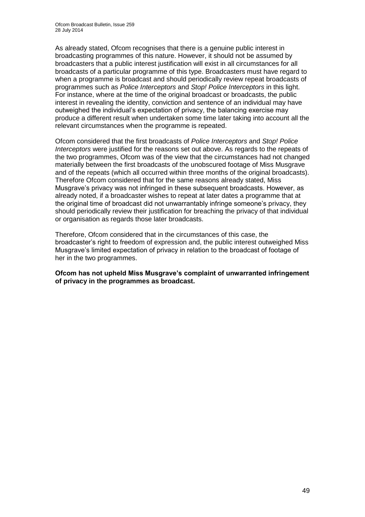As already stated, Ofcom recognises that there is a genuine public interest in broadcasting programmes of this nature. However, it should not be assumed by broadcasters that a public interest justification will exist in all circumstances for all broadcasts of a particular programme of this type. Broadcasters must have regard to when a programme is broadcast and should periodically review repeat broadcasts of programmes such as *Police Interceptors* and *Stop! Police Interceptors* in this light. For instance, where at the time of the original broadcast or broadcasts, the public interest in revealing the identity, conviction and sentence of an individual may have outweighed the individual's expectation of privacy, the balancing exercise may produce a different result when undertaken some time later taking into account all the relevant circumstances when the programme is repeated.

Ofcom considered that the first broadcasts of *Police Interceptors* and *Stop! Police Interceptors* were justified for the reasons set out above. As regards to the repeats of the two programmes, Ofcom was of the view that the circumstances had not changed materially between the first broadcasts of the unobscured footage of Miss Musgrave and of the repeats (which all occurred within three months of the original broadcasts). Therefore Ofcom considered that for the same reasons already stated, Miss Musgrave's privacy was not infringed in these subsequent broadcasts. However, as already noted, if a broadcaster wishes to repeat at later dates a programme that at the original time of broadcast did not unwarrantably infringe someone's privacy, they should periodically review their justification for breaching the privacy of that individual or organisation as regards those later broadcasts.

Therefore, Ofcom considered that in the circumstances of this case, the broadcaster's right to freedom of expression and, the public interest outweighed Miss Musgrave's limited expectation of privacy in relation to the broadcast of footage of her in the two programmes.

**Ofcom has not upheld Miss Musgrave's complaint of unwarranted infringement of privacy in the programmes as broadcast.**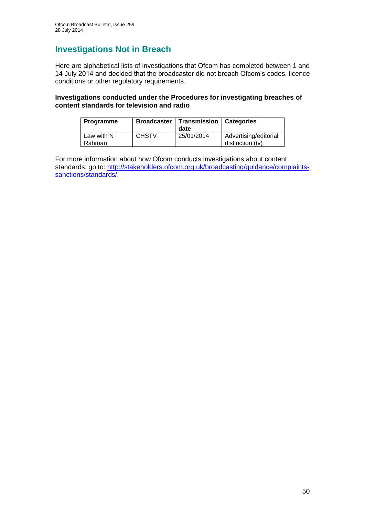## **Investigations Not in Breach**

Here are alphabetical lists of investigations that Ofcom has completed between 1 and 14 July 2014 and decided that the broadcaster did not breach Ofcom's codes, licence conditions or other regulatory requirements.

#### **Investigations conducted under the Procedures for investigating breaches of content standards for television and radio**

| Programme            | <b>Broadcaster</b> | Transmission<br>date | Categories                                |
|----------------------|--------------------|----------------------|-------------------------------------------|
| Law with N<br>Rahman | <b>CHSTV</b>       | 25/01/2014           | Advertising/editorial<br>distinction (tv) |

For more information about how Ofcom conducts investigations about content standards, go to: [http://stakeholders.ofcom.org.uk/broadcasting/guidance/complaints](http://stakeholders.ofcom.org.uk/broadcasting/guidance/complaints-sanctions/standards/)[sanctions/standards/.](http://stakeholders.ofcom.org.uk/broadcasting/guidance/complaints-sanctions/standards/)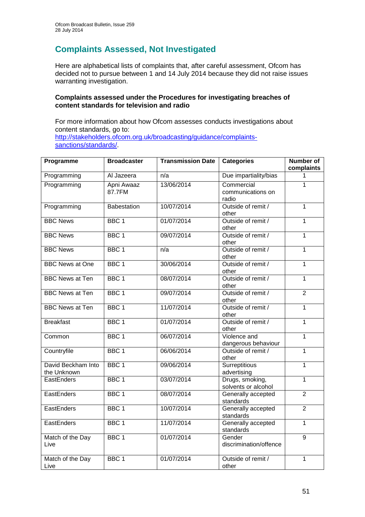## **Complaints Assessed, Not Investigated**

Here are alphabetical lists of complaints that, after careful assessment, Ofcom has decided not to pursue between 1 and 14 July 2014 because they did not raise issues warranting investigation.

#### **Complaints assessed under the Procedures for investigating breaches of content standards for television and radio**

For more information about how Ofcom assesses conducts investigations about content standards, go to: [http://stakeholders.ofcom.org.uk/broadcasting/guidance/complaints](http://stakeholders.ofcom.org.uk/broadcasting/guidance/complaints-sanctions/standards/)[sanctions/standards/.](http://stakeholders.ofcom.org.uk/broadcasting/guidance/complaints-sanctions/standards/)

| Programme                         | <b>Broadcaster</b>   | <b>Transmission Date</b> | <b>Categories</b>                        | <b>Number of</b><br>complaints |
|-----------------------------------|----------------------|--------------------------|------------------------------------------|--------------------------------|
| Programming                       | Al Jazeera           | n/a                      | Due impartiality/bias                    | 1                              |
| Programming                       | Apni Awaaz<br>87.7FM | 13/06/2014               | Commercial<br>communications on<br>radio | 1                              |
| Programming                       | Babestation          | 10/07/2014               | Outside of remit /<br>other              | $\mathbf{1}$                   |
| <b>BBC News</b>                   | BBC <sub>1</sub>     | 01/07/2014               | Outside of remit /<br>other              | 1                              |
| <b>BBC News</b>                   | BBC <sub>1</sub>     | 09/07/2014               | Outside of remit /<br>other              | $\mathbf{1}$                   |
| <b>BBC News</b>                   | BBC <sub>1</sub>     | n/a                      | Outside of remit /<br>other              | $\overline{1}$                 |
| <b>BBC News at One</b>            | BBC <sub>1</sub>     | 30/06/2014               | Outside of remit /<br>other              | $\mathbf{1}$                   |
| <b>BBC News at Ten</b>            | BBC <sub>1</sub>     | 08/07/2014               | Outside of remit /<br>other              | $\overline{1}$                 |
| <b>BBC News at Ten</b>            | BBC <sub>1</sub>     | 09/07/2014               | Outside of remit /<br>other              | $\overline{2}$                 |
| <b>BBC News at Ten</b>            | BBC <sub>1</sub>     | 11/07/2014               | Outside of remit /<br>other              | $\mathbf{1}$                   |
| <b>Breakfast</b>                  | BBC <sub>1</sub>     | 01/07/2014               | Outside of remit /<br>other              | $\mathbf{1}$                   |
| Common                            | BBC <sub>1</sub>     | 06/07/2014               | Violence and<br>dangerous behaviour      | $\mathbf{1}$                   |
| Countryfile                       | BBC <sub>1</sub>     | 06/06/2014               | Outside of remit /<br>other              | $\mathbf{1}$                   |
| David Beckham Into<br>the Unknown | BBC <sub>1</sub>     | 09/06/2014               | Surreptitious<br>advertising             | $\overline{1}$                 |
| EastEnders                        | BBC <sub>1</sub>     | 03/07/2014               | Drugs, smoking,<br>solvents or alcohol   | $\overline{1}$                 |
| EastEnders                        | BBC <sub>1</sub>     | 08/07/2014               | Generally accepted<br>standards          | $\overline{2}$                 |
| EastEnders                        | BBC <sub>1</sub>     | 10/07/2014               | Generally accepted<br>standards          | $\overline{2}$                 |
| EastEnders                        | BBC <sub>1</sub>     | 11/07/2014               | Generally accepted<br>standards          | $\overline{1}$                 |
| Match of the Day<br>Live          | BBC <sub>1</sub>     | 01/07/2014               | Gender<br>discrimination/offence         | 9                              |
| Match of the Day<br>Live          | BBC <sub>1</sub>     | 01/07/2014               | Outside of remit /<br>other              | $\overline{1}$                 |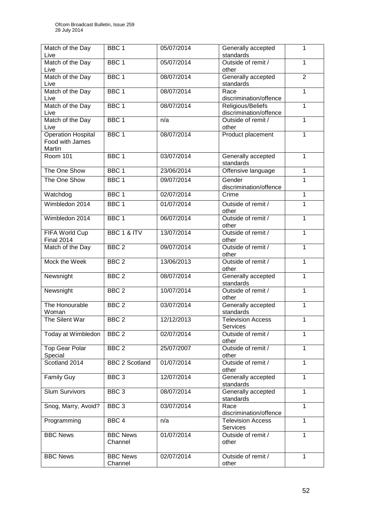| Match of the Day          | BBC <sub>1</sub>      | 05/07/2014 | Generally accepted          | 1              |
|---------------------------|-----------------------|------------|-----------------------------|----------------|
| Live                      |                       |            | standards                   |                |
| Match of the Day          | BBC <sub>1</sub>      | 05/07/2014 | Outside of remit /          | 1              |
| Live                      |                       |            | other                       |                |
| Match of the Day          | BBC <sub>1</sub>      | 08/07/2014 | Generally accepted          | $\overline{2}$ |
| Live                      |                       |            | standards                   |                |
| Match of the Day          | BBC <sub>1</sub>      | 08/07/2014 | Race                        | $\mathbf{1}$   |
| Live                      |                       |            | discrimination/offence      |                |
| Match of the Day          | BBC <sub>1</sub>      | 08/07/2014 | Religious/Beliefs           | $\mathbf{1}$   |
| Live                      |                       |            | discrimination/offence      |                |
| Match of the Day          | BBC <sub>1</sub>      | n/a        | Outside of remit /          | $\mathbf{1}$   |
| Live                      |                       |            | other                       |                |
| <b>Operation Hospital</b> | BBC <sub>1</sub>      | 08/07/2014 | Product placement           | $\mathbf{1}$   |
| Food with James           |                       |            |                             |                |
| Martin                    |                       |            |                             |                |
| Room 101                  | BBC <sub>1</sub>      | 03/07/2014 | Generally accepted          | $\mathbf{1}$   |
|                           |                       |            | standards                   |                |
| The One Show              | BBC <sub>1</sub>      | 23/06/2014 |                             | $\mathbf{1}$   |
|                           |                       |            | Offensive language          |                |
| The One Show              | BBC <sub>1</sub>      | 09/07/2014 | Gender                      | $\overline{1}$ |
|                           |                       |            | discrimination/offence      |                |
| Watchdog                  | BBC <sub>1</sub>      | 02/07/2014 | Crime                       | 1              |
| Wimbledon 2014            | BBC <sub>1</sub>      | 01/07/2014 | Outside of remit /          | $\overline{1}$ |
|                           |                       |            | other                       |                |
| Wimbledon 2014            | BBC <sub>1</sub>      | 06/07/2014 | Outside of remit /          | 1              |
|                           |                       |            | other                       |                |
| FIFA World Cup            | BBC 1 & ITV           | 13/07/2014 | Outside of remit /          | 1              |
| <b>Final 2014</b>         |                       |            | other                       |                |
| Match of the Day          | BBC <sub>2</sub>      | 09/07/2014 | Outside of remit /          | $\mathbf{1}$   |
|                           |                       |            | other                       |                |
| Mock the Week             | BBC <sub>2</sub>      | 13/06/2013 | Outside of remit /          | 1              |
|                           |                       |            | other                       |                |
| Newsnight                 | BBC <sub>2</sub>      | 08/07/2014 | Generally accepted          | 1              |
|                           |                       |            | standards                   |                |
| Newsnight                 | BBC <sub>2</sub>      | 10/07/2014 | Outside of remit /          | 1              |
|                           |                       |            | other                       |                |
| The Honourable            | BBC <sub>2</sub>      | 03/07/2014 | Generally accepted          | $\mathbf{1}$   |
| Woman                     |                       |            | standards                   |                |
| The Silent War            | BBC <sub>2</sub>      | 12/12/2013 | Television Access           | $\mathbf{1}$   |
|                           |                       |            | Services                    |                |
| Today at Wimbledon        | BBC <sub>2</sub>      | 02/07/2014 | Outside of remit /          | 1              |
|                           |                       |            | other                       |                |
| <b>Top Gear Polar</b>     | BBC <sub>2</sub>      | 25/07/2007 | Outside of remit /          | 1              |
| Special                   |                       |            | other                       |                |
| Scotland 2014             | <b>BBC 2 Scotland</b> | 01/07/2014 | Outside of remit /          | $\mathbf{1}$   |
|                           |                       |            | other                       |                |
| <b>Family Guy</b>         | BBC <sub>3</sub>      | 12/07/2014 | Generally accepted          | $\mathbf{1}$   |
|                           |                       |            | standards                   |                |
| <b>Slum Survivors</b>     | BBC <sub>3</sub>      | 08/07/2014 | Generally accepted          | $\mathbf{1}$   |
|                           |                       |            | standards                   |                |
|                           | BBC <sub>3</sub>      | 03/07/2014 | Race                        | $\mathbf{1}$   |
| Snog, Marry, Avoid?       |                       |            | discrimination/offence      |                |
|                           |                       |            |                             | $\mathbf{1}$   |
| Programming               | BBC <sub>4</sub>      | n/a        | <b>Television Access</b>    |                |
|                           |                       |            | Services                    |                |
| <b>BBC News</b>           | <b>BBC News</b>       | 01/07/2014 | Outside of remit /          | $\mathbf{1}$   |
|                           | Channel               |            | other                       |                |
|                           | <b>BBC News</b>       |            |                             | $\mathbf{1}$   |
| <b>BBC News</b>           | Channel               | 02/07/2014 | Outside of remit /<br>other |                |
|                           |                       |            |                             |                |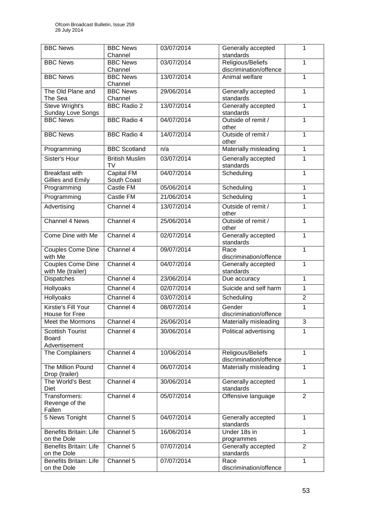| <b>BBC News</b>                              | <b>BBC News</b>            | 03/07/2014 | Generally accepted                          | 1              |
|----------------------------------------------|----------------------------|------------|---------------------------------------------|----------------|
|                                              | Channel                    |            | standards                                   |                |
| <b>BBC News</b>                              | <b>BBC News</b><br>Channel | 03/07/2014 | Religious/Beliefs<br>discrimination/offence | $\mathbf{1}$   |
| <b>BBC News</b>                              | <b>BBC News</b>            | 13/07/2014 | Animal welfare                              | 1              |
|                                              | Channel                    |            |                                             |                |
| The Old Plane and                            | <b>BBC News</b>            | 29/06/2014 | Generally accepted                          | 1              |
| The Sea                                      | Channel                    |            | standards                                   |                |
| Steve Wright's<br>Sunday Love Songs          | <b>BBC Radio 2</b>         | 13/07/2014 | Generally accepted<br>standards             | $\mathbf{1}$   |
| <b>BBC News</b>                              | <b>BBC Radio 4</b>         | 04/07/2014 | Outside of remit /                          | $\mathbf{1}$   |
|                                              |                            |            | other                                       |                |
| <b>BBC News</b>                              | <b>BBC Radio 4</b>         | 14/07/2014 | Outside of remit /                          | 1              |
| Programming                                  | <b>BBC Scotland</b>        | n/a        | other<br>Materially misleading              | $\mathbf{1}$   |
| Sister's Hour                                | <b>British Muslim</b>      |            |                                             |                |
|                                              | TV                         | 03/07/2014 | Generally accepted<br>standards             | 1              |
| <b>Breakfast with</b>                        | <b>Capital FM</b>          | 04/07/2014 | Scheduling                                  | $\mathbf{1}$   |
| Gillies and Emily                            | South Coast                |            |                                             |                |
| Programming                                  | <b>Castle FM</b>           | 05/06/2014 | Scheduling                                  | 1              |
| Programming                                  | Castle FM                  | 21/06/2014 | Scheduling                                  | $\overline{1}$ |
| Advertising                                  | Channel 4                  | 13/07/2014 | Outside of remit /<br>other                 | 1              |
| <b>Channel 4 News</b>                        | Channel 4                  | 25/06/2014 | Outside of remit /                          | $\mathbf{1}$   |
|                                              |                            |            | other                                       |                |
| Come Dine with Me                            | Channel 4                  | 02/07/2014 | Generally accepted<br>standards             | $\mathbf{1}$   |
| Couples Come Dine<br>with Me                 | Channel 4                  | 09/07/2014 | Race<br>discrimination/offence              | 1              |
| <b>Couples Come Dine</b>                     | Channel 4                  | 04/07/2014 | Generally accepted                          | $\mathbf 1$    |
| with Me (trailer)                            |                            |            | standards                                   |                |
| Dispatches                                   | Channel 4                  | 23/06/2014 | Due accuracy                                | 1              |
| <b>Hollyoaks</b>                             | Channel 4                  | 02/07/2014 | Suicide and self harm                       | $\overline{1}$ |
| Hollyoaks                                    | Channel 4                  | 03/07/2014 | Scheduling                                  | $\overline{2}$ |
| Kirstie's Fill Your                          | Channel 4                  | 08/07/2014 | Gender                                      | 1              |
| House for Free                               |                            |            | discrimination/offence                      |                |
| Meet the Mormons                             | Channel 4                  | 26/06/2014 | Materially misleading                       | 3              |
| <b>Scottish Tourist</b>                      | Channel 4                  | 30/06/2014 | Political advertising                       | 1              |
| Board<br>Advertisement                       |                            |            |                                             |                |
| The Complainers                              | Channel 4                  | 10/06/2014 | Religious/Beliefs                           | $\mathbf{1}$   |
|                                              |                            |            | discrimination/offence                      |                |
| The Million Pound                            | Channel 4                  | 06/07/2014 | Materially misleading                       | 1              |
| Drop (trailer)<br>The World's Best           | Channel 4                  | 30/06/2014 | Generally accepted                          | $\mathbf{1}$   |
| Diet                                         |                            |            | standards                                   |                |
| Transformers:                                | Channel 4                  | 05/07/2014 | Offensive language                          | $\overline{2}$ |
| Revenge of the                               |                            |            |                                             |                |
| Fallen                                       |                            |            |                                             |                |
| 5 News Tonight                               | Channel 5                  | 04/07/2014 | Generally accepted<br>standards             | 1              |
| <b>Benefits Britain: Life</b>                | Channel 5                  | 16/06/2014 | Under 18s in                                | $\mathbf{1}$   |
| on the Dole                                  |                            |            | programmes                                  |                |
| <b>Benefits Britain: Life</b>                | Channel 5                  | 07/07/2014 | Generally accepted                          | $\overline{2}$ |
| on the Dole<br><b>Benefits Britain: Life</b> | Channel 5                  | 07/07/2014 | standards<br>Race                           | 1              |
| on the Dole                                  |                            |            | discrimination/offence                      |                |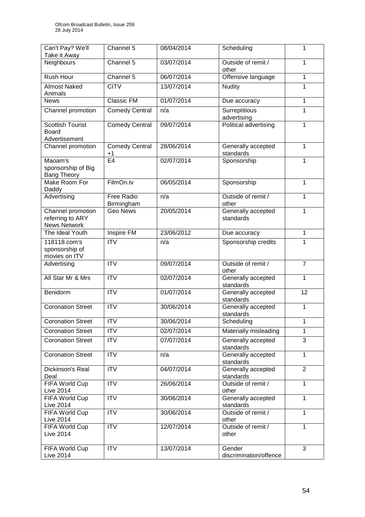| Can't Pay? We'll<br>Take it Away                             | Channel 5                       | 08/04/2014 | Scheduling                       | 1              |
|--------------------------------------------------------------|---------------------------------|------------|----------------------------------|----------------|
| Neighbours                                                   | Channel 5                       | 03/07/2014 | Outside of remit /<br>other      | 1              |
| <b>Rush Hour</b>                                             | Channel 5                       | 06/07/2014 | Offensive language               | $\mathbf{1}$   |
| <b>Almost Naked</b><br>Animals                               | <b>CITV</b>                     | 13/07/2014 | <b>Nudity</b>                    | 1              |
| <b>News</b>                                                  | Classic FM                      | 01/07/2014 | Due accuracy                     | 1              |
| Channel promotion                                            | <b>Comedy Central</b>           | n/a        | Surreptitious<br>advertising     | 1              |
| <b>Scottish Tourist</b><br><b>Board</b><br>Advertisement     | <b>Comedy Central</b>           | 09/07/2014 | Political advertising            | 1              |
| Channel promotion                                            | <b>Comedy Central</b><br>$+1$   | 28/06/2014 | Generally accepted<br>standards  | 1              |
| Maoam's<br>sponsorship of Big<br><b>Bang Theory</b>          | E <sub>4</sub>                  | 02/07/2014 | Sponsorship                      | 1              |
| Make Room For<br>Daddy                                       | FilmOn.tv                       | 06/05/2014 | Sponsorship                      | 1              |
| Advertising                                                  | <b>Free Radio</b><br>Birmingham | n/a        | Outside of remit /<br>other      | 1              |
| Channel promotion<br>referring to ARY<br><b>News Network</b> | <b>Geo News</b>                 | 20/05/2014 | Generally accepted<br>standards  | $\mathbf{1}$   |
| The Ideal Youth                                              | Inspire FM                      | 23/06/2012 | Due accuracy                     | 1              |
| 118118.com's<br>sponsorship of<br>movies on ITV              | <b>ITV</b>                      | n/a        | Sponsorship credits              | 1              |
| Advertising                                                  | <b>ITV</b>                      | 09/07/2014 | Outside of remit /<br>other      | $\overline{7}$ |
| All Star Mr & Mrs                                            | <b>ITV</b>                      | 02/07/2014 | Generally accepted<br>standards  | 1              |
| Benidorm                                                     | <b>ITV</b>                      | 01/07/2014 | Generally accepted<br>standards  | 12             |
| <b>Coronation Street</b>                                     | $\overline{ITV}$                | 30/06/2014 | Generally accepted<br>standards  | $\overline{1}$ |
| <b>Coronation Street</b>                                     | <b>ITV</b>                      | 30/06/2014 | Scheduling                       | 1              |
| <b>Coronation Street</b>                                     | <b>ITV</b>                      | 02/07/2014 | Materially misleading            | 1              |
| <b>Coronation Street</b>                                     | $\overline{IV}$                 | 07/07/2014 | Generally accepted<br>standards  | 3              |
| <b>Coronation Street</b>                                     | <b>ITV</b>                      | n/a        | Generally accepted<br>standards  | $\mathbf{1}$   |
| Dickinson's Real<br>Deal                                     | <b>ITV</b>                      | 04/07/2014 | Generally accepted<br>standards  | $\overline{2}$ |
| FIFA World Cup<br><b>Live 2014</b>                           | $\overline{IV}$                 | 26/06/2014 | Outside of remit /<br>other      | $\mathbf{1}$   |
| FIFA World Cup<br><b>Live 2014</b>                           | <b>ITV</b>                      | 30/06/2014 | Generally accepted<br>standards  | 1              |
| FIFA World Cup<br><b>Live 2014</b>                           | <b>ITV</b>                      | 30/06/2014 | Outside of remit /<br>other      | $\mathbf{1}$   |
| FIFA World Cup<br><b>Live 2014</b>                           | ITV                             | 12/07/2014 | Outside of remit /<br>other      | $\mathbf{1}$   |
| FIFA World Cup<br><b>Live 2014</b>                           | <b>ITV</b>                      | 13/07/2014 | Gender<br>discrimination/offence | 3              |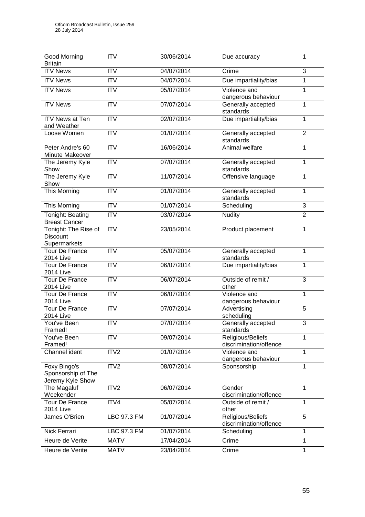| Good Morning<br><b>Britain</b>                          | <b>ITV</b>             | 30/06/2014 | Due accuracy                                | 1              |
|---------------------------------------------------------|------------------------|------------|---------------------------------------------|----------------|
| <b>ITV News</b>                                         | <b>ITV</b>             | 04/07/2014 | Crime                                       | 3              |
| <b>ITV News</b>                                         | $\overline{IV}$        | 04/07/2014 | Due impartiality/bias                       | $\overline{1}$ |
| <b>ITV News</b>                                         | $\overline{ITV}$       | 05/07/2014 | Violence and<br>dangerous behaviour         | $\mathbf{1}$   |
| <b>ITV News</b>                                         | $\overline{\text{IV}}$ | 07/07/2014 | Generally accepted<br>standards             | $\overline{1}$ |
| <b>ITV News at Ten</b><br>and Weather                   | <b>ITV</b>             | 02/07/2014 | Due impartiality/bias                       | $\mathbf{1}$   |
| Loose Women                                             | <b>ITV</b>             | 01/07/2014 | Generally accepted<br>standards             | $\overline{2}$ |
| Peter Andre's 60<br>Minute Makeover                     | $\overline{IV}$        | 16/06/2014 | Animal welfare                              | $\mathbf{1}$   |
| The Jeremy Kyle<br>Show                                 | <b>ITV</b>             | 07/07/2014 | Generally accepted<br>standards             | $\mathbf{1}$   |
| The Jeremy Kyle<br>Show                                 | $\overline{ITV}$       | 11/07/2014 | Offensive language                          | 1              |
| <b>This Morning</b>                                     | $\overline{IV}$        | 01/07/2014 | Generally accepted<br>standards             | $\overline{1}$ |
| <b>This Morning</b>                                     | <b>ITV</b>             | 01/07/2014 | Scheduling                                  | 3              |
| <b>Tonight: Beating</b><br><b>Breast Cancer</b>         | $\overline{ITV}$       | 03/07/2014 | <b>Nudity</b>                               | $\overline{2}$ |
| Tonight: The Rise of<br><b>Discount</b><br>Supermarkets | $\overline{IV}$        | 23/05/2014 | Product placement                           | $\mathbf{1}$   |
| <b>Tour De France</b><br><b>2014 Live</b>               | $\overline{ITV}$       | 05/07/2014 | Generally accepted<br>standards             | $\mathbf{1}$   |
| <b>Tour De France</b><br><b>2014 Live</b>               | <b>ITV</b>             | 06/07/2014 | Due impartiality/bias                       | $\mathbf{1}$   |
| <b>Tour De France</b><br><b>2014 Live</b>               | <b>ITV</b>             | 06/07/2014 | Outside of remit /<br>other                 | 3              |
| <b>Tour De France</b><br><b>2014 Live</b>               | $\overline{ITV}$       | 06/07/2014 | Violence and<br>dangerous behaviour         | $\overline{1}$ |
| <b>Tour De France</b><br><b>2014 Live</b>               | $\overline{ITV}$       | 07/07/2014 | Advertising<br>scheduling                   | $\overline{5}$ |
| You've Been<br>Framed!                                  | <b>ITV</b>             | 07/07/2014 | Generally accepted<br>standards             | 3              |
| You've Been<br>Framed!                                  | <b>ITV</b>             | 09/07/2014 | Religious/Beliefs<br>discrimination/offence | 1              |
| Channel ident                                           | ITV2                   | 01/07/2014 | Violence and<br>dangerous behaviour         | 1              |
| Foxy Bingo's<br>Sponsorship of The<br>Jeremy Kyle Show  | ITV2                   | 08/07/2014 | Sponsorship                                 | $\mathbf{1}$   |
| The Magaluf<br>Weekender                                | ITV <sub>2</sub>       | 06/07/2014 | Gender<br>discrimination/offence            | $\mathbf{1}$   |
| <b>Tour De France</b><br><b>2014 Live</b>               | ITV4                   | 05/07/2014 | Outside of remit /<br>other                 | 1              |
| James O'Brien                                           | LBC 97.3 FM            | 01/07/2014 | Religious/Beliefs<br>discrimination/offence | 5              |
| Nick Ferrari                                            | LBC 97.3 FM            | 01/07/2014 | Scheduling                                  | $\mathbf{1}$   |
| Heure de Verite                                         | <b>MATV</b>            | 17/04/2014 | Crime                                       | $\mathbf 1$    |
| Heure de Verite                                         | <b>MATV</b>            | 23/04/2014 | Crime                                       | 1              |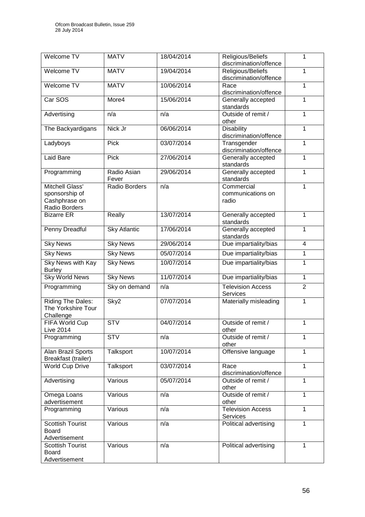| Welcome TV                                                          | <b>MATV</b>             | 18/04/2014 | Religious/Beliefs<br>discrimination/offence | 1              |
|---------------------------------------------------------------------|-------------------------|------------|---------------------------------------------|----------------|
| Welcome TV                                                          | <b>MATV</b>             | 19/04/2014 | Religious/Beliefs<br>discrimination/offence | 1              |
| Welcome TV                                                          | <b>MATV</b>             | 10/06/2014 | Race<br>discrimination/offence              | 1              |
| Car SOS                                                             | More4                   | 15/06/2014 | Generally accepted<br>standards             | 1              |
| Advertising                                                         | n/a                     | n/a        | Outside of remit /<br>other                 | $\mathbf{1}$   |
| The Backyardigans                                                   | Nick Jr                 | 06/06/2014 | <b>Disability</b><br>discrimination/offence | 1              |
| Ladyboys                                                            | Pick                    | 03/07/2014 | Transgender<br>discrimination/offence       | 1              |
| Laid Bare                                                           | Pick                    | 27/06/2014 | Generally accepted<br>standards             | 1              |
| Programming                                                         | Radio Asian<br>Fever    | 29/06/2014 | Generally accepted<br>standards             | $\mathbf{1}$   |
| Mitchell Glass'<br>sponsorship of<br>Cashphrase on<br>Radio Borders | Radio Borders           | n/a        | Commercial<br>communications on<br>radio    | 1              |
| <b>Bizarre ER</b>                                                   | Really                  | 13/07/2014 | Generally accepted<br>standards             | 1              |
| <b>Penny Dreadful</b>                                               | <b>Sky Atlantic</b>     | 17/06/2014 | Generally accepted<br>standards             | $\mathbf{1}$   |
| <b>Sky News</b>                                                     | <b>Sky News</b>         | 29/06/2014 | Due impartiality/bias                       | $\overline{4}$ |
| <b>Sky News</b>                                                     | <b>Sky News</b>         | 05/07/2014 | Due impartiality/bias                       | $\mathbf{1}$   |
| <b>Sky News with Kay</b><br><b>Burley</b>                           | <b>Sky News</b>         | 10/07/2014 | Due impartiality/bias                       | 1              |
| <b>Sky World News</b>                                               | <b>Sky News</b>         | 11/07/2014 | Due impartiality/bias                       | $\mathbf{1}$   |
| Programming                                                         | Sky on demand           | n/a        | <b>Television Access</b><br>Services        | $\overline{2}$ |
| <b>Riding The Dales:</b><br>The Yorkshire Tour<br>Challenge         | Sky <sub>2</sub>        | 07/07/2014 | Materially misleading                       | $\mathbf{1}$   |
| FIFA World Cup<br><b>Live 2014</b>                                  | $\overline{\text{STV}}$ | 04/07/2014 | Outside of remit /<br>other                 | 1              |
| Programming                                                         | <b>STV</b>              | n/a        | Outside of remit /<br>other                 | 1              |
| Alan Brazil Sports<br>Breakfast (trailer)                           | Talksport               | 10/07/2014 | Offensive language                          | 1              |
| <b>World Cup Drive</b>                                              | Talksport               | 03/07/2014 | Race<br>discrimination/offence              | 1              |
| Advertising                                                         | Various                 | 05/07/2014 | Outside of remit /<br>other                 | $\overline{1}$ |
| Omega Loans<br>advertisement                                        | Various                 | n/a        | Outside of remit /<br>other                 | $\mathbf{1}$   |
| Programming                                                         | Various                 | n/a        | <b>Television Access</b><br>Services        | 1              |
| <b>Scottish Tourist</b><br><b>Board</b><br>Advertisement            | Various                 | n/a        | Political advertising                       | $\mathbf{1}$   |
| <b>Scottish Tourist</b><br><b>Board</b><br>Advertisement            | Various                 | n/a        | Political advertising                       | 1              |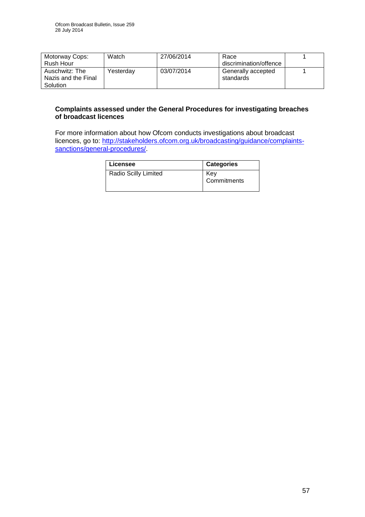| Motorway Cops:<br>Rush Hour                       | Watch     | 27/06/2014 | Race<br>discrimination/offence  |  |
|---------------------------------------------------|-----------|------------|---------------------------------|--|
| Auschwitz: The<br>Nazis and the Final<br>Solution | Yesterday | 03/07/2014 | Generally accepted<br>standards |  |

#### **Complaints assessed under the General Procedures for investigating breaches of broadcast licences**

For more information about how Ofcom conducts investigations about broadcast licences, go to: [http://stakeholders.ofcom.org.uk/broadcasting/guidance/complaints](http://stakeholders.ofcom.org.uk/broadcasting/guidance/complaints-sanctions/general-procedures/)[sanctions/general-procedures/.](http://stakeholders.ofcom.org.uk/broadcasting/guidance/complaints-sanctions/general-procedures/)

| Licensee             | <b>Categories</b>  |
|----------------------|--------------------|
| Radio Scilly Limited | Kev<br>Commitments |